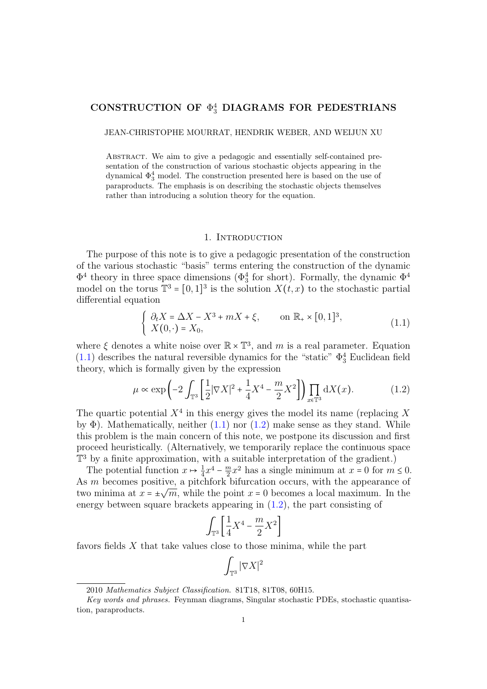# CONSTRUCTION OF  $\Phi_3^4$  DIAGRAMS FOR PEDESTRIANS

JEAN-CHRISTOPHE MOURRAT, HENDRIK WEBER, AND WEIJUN XU

ABSTRACT. We aim to give a pedagogic and essentially self-contained presentation of the construction of various stochastic objects appearing in the dynamical  $\Phi_3^4$  model. The construction presented here is based on the use of paraproducts. The emphasis is on describing the stochastic objects themselves rather than introducing a solution theory for the equation.

#### 1. INTRODUCTION

The purpose of this note is to give a pedagogic presentation of the construction of the various stochastic "basis" terms entering the construction of the dynamic  $\Phi^4$  theory in three space dimensions ( $\Phi^4_3$  for short). Formally, the dynamic  $\Phi^4$ model on the torus  $\mathbb{T}^3 = [0,1]^3$  is the solution  $X(t, x)$  to the stochastic partial differential equation

<span id="page-0-0"></span>
$$
\begin{cases} \partial_t X = \Delta X - X^3 + mX + \xi, & \text{on } \mathbb{R}_+ \times [0,1]^3, \\ X(0,\cdot) = X_0, & \end{cases}
$$
 (1.1)

where  $\xi$  denotes a white noise over  $\mathbb{R} \times \mathbb{T}^3$ , and m is a real parameter. Equation  $(1.1)$  describes the natural reversible dynamics for the "static"  $\Phi_3^4$  Euclidean field theory, which is formally given by the expression

<span id="page-0-1"></span>
$$
\mu \propto \exp\left(-2\int_{\mathbb{T}^3} \left[\frac{1}{2} |\nabla X|^2 + \frac{1}{4} X^4 - \frac{m}{2} X^2\right]\right) \prod_{x \in \mathbb{T}^3} dX(x). \tag{1.2}
$$

The quartic potential  $X^4$  in this energy gives the model its name (replacing X by  $\Phi$ ). Mathematically, neither [\(1.1\)](#page-0-0) nor [\(1.2\)](#page-0-1) make sense as they stand. While this problem is the main concern of this note, we postpone its discussion and first proceed heuristically. (Alternatively, we temporarily replace the continuous space T<sup>3</sup> by a finite approximation, with a suitable interpretation of the gradient.)

The potential function  $x \mapsto \frac{1}{4}x^4 - \frac{m}{2}$ The potential function  $x \mapsto \frac{1}{4}x^4 - \frac{m}{2}x^2$  has a single minimum at  $x = 0$  for  $m \le 0$ .<br>As m becomes positive, a pitchfork bifurcation occurs, with the appearance of two minima at  $x = \pm \sqrt{m}$ , while the point  $x = 0$  becomes a local maximum. In the energy between square brackets appearing in [\(1.2\)](#page-0-1), the part consisting of

$$
\int_{\mathbb{T}^3} \left[ \frac{1}{4} X^4 - \frac{m}{2} X^2 \right]
$$

favors fields  $X$  that take values close to those minima, while the part

$$
\int_{\mathbb{T}^3} |\nabla X|^2
$$

<sup>2010</sup> Mathematics Subject Classification. 81T18, 81T08, 60H15.

Key words and phrases. Feynman diagrams, Singular stochastic PDEs, stochastic quantisation, paraproducts.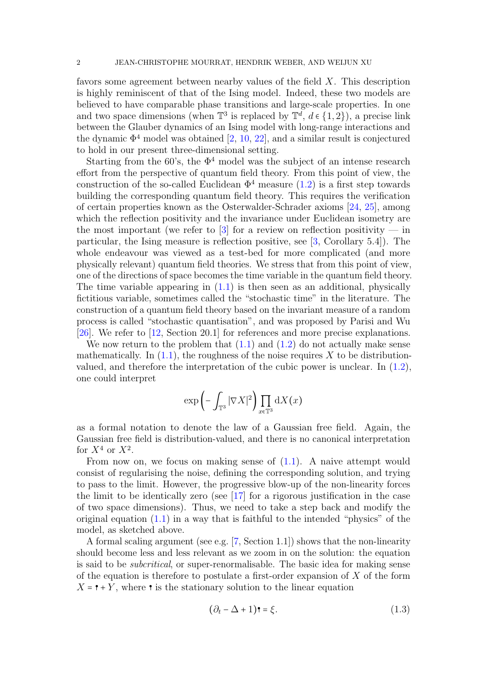favors some agreement between nearby values of the field X. This description is highly reminiscent of that of the Ising model. Indeed, these two models are believed to have comparable phase transitions and large-scale properties. In one and two space dimensions (when  $\mathbb{T}^3$  is replaced by  $\mathbb{T}^d$ ,  $d \in \{1,2\}$ ), a precise link<br>between the Clauber dynamics of an Ising model with lang page interactions and between the Glauber dynamics of an Ising model with long-range interactions and the dynamic  $\Phi^4$  model was obtained [\[2,](#page-37-0) [10,](#page-37-1) [22\]](#page-37-2), and a similar result is conjectured to hold in our present three-dimensional setting.

Starting from the 60's, the  $\Phi^4$  model was the subject of an intense research effort from the perspective of quantum field theory. From this point of view, the construction of the so-called Euclidean  $\Phi^4$  measure [\(1.2\)](#page-0-1) is a first step towards building the corresponding quantum field theory. This requires the verification of certain properties known as the Osterwalder-Schrader axioms [\[24,](#page-38-0) [25\]](#page-38-1), among which the reflection positivity and the invariance under Euclidean isometry are the most important (we refer to  $\lceil 3 \rceil$  for a review on reflection positivity — in particular, the Ising measure is reflection positive, see [\[3,](#page-37-3) Corollary 5.4]). The whole endeavour was viewed as a test-bed for more complicated (and more physically relevant) quantum field theories. We stress that from this point of view, one of the directions of space becomes the time variable in the quantum field theory. The time variable appearing in  $(1.1)$  is then seen as an additional, physically fictitious variable, sometimes called the "stochastic time" in the literature. The construction of a quantum field theory based on the invariant measure of a random process is called "stochastic quantisation", and was proposed by Parisi and Wu [\[26\]](#page-38-2). We refer to [\[12,](#page-37-4) Section 20.1] for references and more precise explanations.

We now return to the problem that  $(1.1)$  and  $(1.2)$  do not actually make sense mathematically. In  $(1.1)$ , the roughness of the noise requires X to be distributionvalued, and therefore the interpretation of the cubic power is unclear. In [\(1.2\)](#page-0-1), one could interpret

$$
\exp\left(-\int_{\mathbb{T}^3} |\nabla X|^2\right) \prod_{x \in \mathbb{T}^3} dX(x)
$$

as a formal notation to denote the law of a Gaussian free field. Again, the Gaussian free field is distribution-valued, and there is no canonical interpretation for  $X^4$  or  $X^2$ .

From now on, we focus on making sense of  $(1.1)$ . A naive attempt would consist of regularising the noise, defining the corresponding solution, and trying to pass to the limit. However, the progressive blow-up of the non-linearity forces the limit to be identically zero (see [\[17\]](#page-37-5) for a rigorous justification in the case of two space dimensions). Thus, we need to take a step back and modify the original equation  $(1.1)$  in a way that is faithful to the intended "physics" of the model, as sketched above.

A formal scaling argument (see e.g. [\[7,](#page-37-6) Section 1.1]) shows that the non-linearity should become less and less relevant as we zoom in on the solution: the equation is said to be subcritical, or super-renormalisable. The basic idea for making sense of the equation is therefore to postulate a first-order expansion of  $X$  of the form  $X = \mathbf{r} + Y$ , where  $\mathbf{r}$  is the stationary solution to the linear equation

<span id="page-1-0"></span>
$$
(\partial_t - \Delta + 1)\mathbf{r} = \xi.
$$
 (1.3)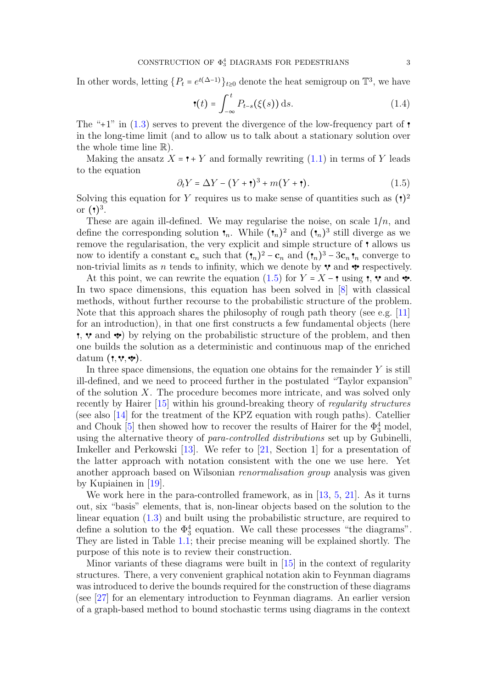In other words, letting  $\{P_t = e^{t(\Delta-1)}\}_{t\geq 0}$  denote the heat semigroup on  $\mathbb{T}^3$ , we have

$$
\mathbf{t}(t) = \int_{-\infty}^{t} P_{t-s}(\xi(s)) \, \mathrm{d}s. \tag{1.4}
$$

The "+1" in  $(1.3)$  serves to prevent the divergence of the low-frequency part of  $\bullet$ in the long-time limit (and to allow us to talk about a stationary solution over the whole time line  $\mathbb{R}$ ).

Making the ansatz  $X = \mathbf{P} + Y$  and formally rewriting  $(1.1)$  in terms of Y leads to the equation

<span id="page-2-0"></span>
$$
\partial_t Y = \Delta Y - (Y + \mathbf{1})^3 + m(Y + \mathbf{1}).\tag{1.5}
$$

Solving this equation for Y requires us to make sense of quantities such as  $(1)^2$ or  $\binom{1}{3}$ .

These are again ill-defined. We may regularise the noise, on scale  $1/n$ , and define the corresponding solution  $\mathbf{t}_n$ . While  $(\mathbf{t}_n)^2$  and  $(\mathbf{t}_n)^3$  still diverge as we remove the regularisation, the very explicit and simple structure of  $\cdot$  allows us now to identify a constant  $\mathbf{c}_n$  such that  $({}^{\bullet}_n)^2 - \mathbf{c}_n$  and  $({}^{\bullet}_n)^3 - 3\mathbf{c}_n$   ${}^{\bullet}_n$  converge to non-trivial limits as *n* tends to infinity, which we denote by  $\mathbf{\hat{v}}$  and  $\mathbf{\hat{v}}$  respectively.

At this point, we can rewrite the equation [\(1.5\)](#page-2-0) for  $Y = X - \mathbf{r}$  using  $\mathbf{r}, \mathbf{v}$  and  $\mathbf{v}$ . In two space dimensions, this equation has been solved in [\[8\]](#page-37-7) with classical methods, without further recourse to the probabilistic structure of the problem. Note that this approach shares the philosophy of rough path theory (see e.g. [\[11\]](#page-37-8) for an introduction), in that one first constructs a few fundamental objects (here  $\mathfrak{r}, \mathfrak{v}$  and  $\mathfrak{v}$  by relying on the probabilistic structure of the problem, and then one builds the solution as a deterministic and continuous map of the enriched datum  $( \cdot, \cdot, \cdot \cdot)$ .

In three space dimensions, the equation one obtains for the remainder  $Y$  is still ill-defined, and we need to proceed further in the postulated "Taylor expansion" of the solution  $X$ . The procedure becomes more intricate, and was solved only recently by Hairer [\[15\]](#page-37-9) within his ground-breaking theory of regularity structures (see also [\[14\]](#page-37-10) for the treatment of the KPZ equation with rough paths). Catellier and Chouk [\[5\]](#page-37-11) then showed how to recover the results of Hairer for the  $\Phi_3^4$  model, using the alternative theory of para-controlled distributions set up by Gubinelli, Imkeller and Perkowski [\[13\]](#page-37-12). We refer to [\[21,](#page-37-13) Section 1] for a presentation of the latter approach with notation consistent with the one we use here. Yet another approach based on Wilsonian renormalisation group analysis was given by Kupiainen in [\[19\]](#page-37-14).

We work here in the para-controlled framework, as in  $[13, 5, 21]$  $[13, 5, 21]$  $[13, 5, 21]$  $[13, 5, 21]$  $[13, 5, 21]$ . As it turns out, six "basis" elements, that is, non-linear objects based on the solution to the linear equation [\(1.3\)](#page-1-0) and built using the probabilistic structure, are required to define a solution to the  $\Phi_3^4$  equation. We call these processes "the diagrams". They are listed in Table [1.1;](#page-3-0) their precise meaning will be explained shortly. The purpose of this note is to review their construction.

Minor variants of these diagrams were built in [\[15\]](#page-37-9) in the context of regularity structures. There, a very convenient graphical notation akin to Feynman diagrams was introduced to derive the bounds required for the construction of these diagrams (see [\[27\]](#page-38-3) for an elementary introduction to Feynman diagrams. An earlier version of a graph-based method to bound stochastic terms using diagrams in the context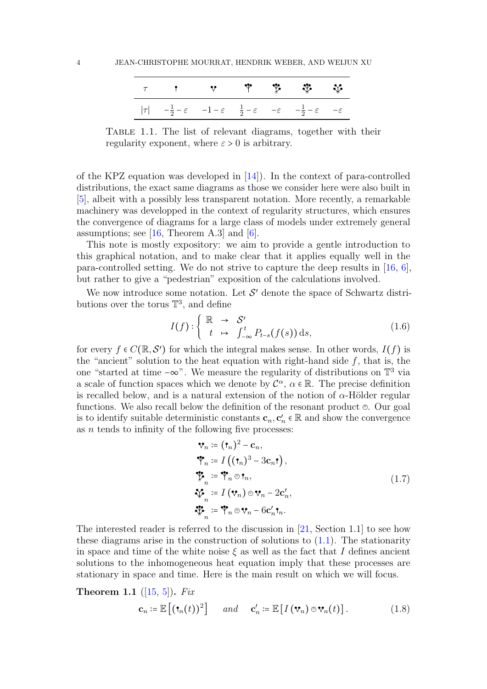<span id="page-3-0"></span>

|  |  | $\tau$ , the state $\mathfrak{P}$ and $\mathfrak{P}$ and $\mathfrak{P}$                                                                         |  |
|--|--|-------------------------------------------------------------------------------------------------------------------------------------------------|--|
|  |  | $ \tau $ $-\frac{1}{2} - \varepsilon$ $-1 - \varepsilon$ $\frac{1}{2} - \varepsilon$ $-\varepsilon$ $-\frac{1}{2} - \varepsilon$ $-\varepsilon$ |  |

Table 1.1. The list of relevant diagrams, together with their regularity exponent, where  $\varepsilon > 0$  is arbitrary.

of the KPZ equation was developed in [\[14\]](#page-37-10)). In the context of para-controlled distributions, the exact same diagrams as those we consider here were also built in [\[5\]](#page-37-11), albeit with a possibly less transparent notation. More recently, a remarkable machinery was developped in the context of regularity structures, which ensures the convergence of diagrams for a large class of models under extremely general assumptions; see  $[16,$  Theorem A.3 and  $[6]$ .

This note is mostly expository: we aim to provide a gentle introduction to this graphical notation, and to make clear that it applies equally well in the para-controlled setting. We do not strive to capture the deep results in [\[16,](#page-37-15) [6\]](#page-37-16), but rather to give a "pedestrian" exposition of the calculations involved.

We now introduce some notation. Let  $\mathcal{S}'$  denote the space of Schwartz distributions over the torus  $\mathbb{T}^3$ , and define

<span id="page-3-3"></span>
$$
I(f): \begin{cases} \mathbb{R} & \to \mathcal{S}' \\ t & \mapsto \int_{-\infty}^t P_{t-s}(f(s)) \, \mathrm{d}s, \end{cases} \tag{1.6}
$$

for every  $f \in C(\mathbb{R}, \mathcal{S}')$  for which the integral makes sense. In other words,  $I(f)$  is<br>the "enginet" solution to the heat equation with wight hand side f, that is the the "ancient" solution to the heat equation with right-hand side  $f$ , that is, the one "started at time  $-\infty$ ". We measure the regularity of distributions on  $\mathbb{T}^3$  via a scale of function spaces which we denote by  $\mathcal{C}^{\alpha}$ ,  $\alpha \in \mathbb{R}$ . The precise definition<br>is recalled below and is a natural autorian of the nation of a Hölder namely is recalled below, and is a natural extension of the notion of  $\alpha$ -Hölder regular functions. We also recall below the definition of the resonant product  $\Theta$ . Our goal is to identify suitable deterministic constants  $\mathbf{c}_n, \mathbf{c}'_n \in \mathbb{R}$  and show the convergence as  $n$  tends to infinity of the following five processes:

$$
\mathbf{v}_n := (\mathbf{t}_n)^2 - \mathbf{c}_n,
$$
  
\n
$$
\mathbf{v}_n := I((\mathbf{t}_n)^3 - 3\mathbf{c}_n \mathbf{t}),
$$
  
\n
$$
\mathbf{v}_n := \mathbf{v}_n \circ \mathbf{t}_n,
$$
  
\n
$$
\mathbf{v}_n := I(\mathbf{v}_n) \circ \mathbf{v}_n - 2\mathbf{c}'_n,
$$
  
\n
$$
\mathbf{v}_n := \mathbf{v}_n \circ \mathbf{v}_n - 6\mathbf{c}'_n \mathbf{t}_n.
$$
  
\n(1.7)

<span id="page-3-1"></span>The interested reader is referred to the discussion in  $[21, Section 1.1]$  $[21, Section 1.1]$  to see how these diagrams arise in the construction of solutions to  $(1.1)$ . The stationarity in space and time of the white noise  $\xi$  as well as the fact that I defines ancient solutions to the inhomogeneous heat equation imply that these processes are stationary in space and time. Here is the main result on which we will focus.

<span id="page-3-4"></span>**Theorem 1.1** ([\[15,](#page-37-9) [5\]](#page-37-11)). Fix

<span id="page-3-2"></span>
$$
\mathbf{c}_n \coloneqq \mathbb{E}\left[ (\mathbf{t}_n(t))^2 \right] \quad \text{and} \quad \mathbf{c}'_n \coloneqq \mathbb{E}\left[ I\left(\mathbf{v}_n\right) \oplus \mathbf{v}_n(t) \right]. \tag{1.8}
$$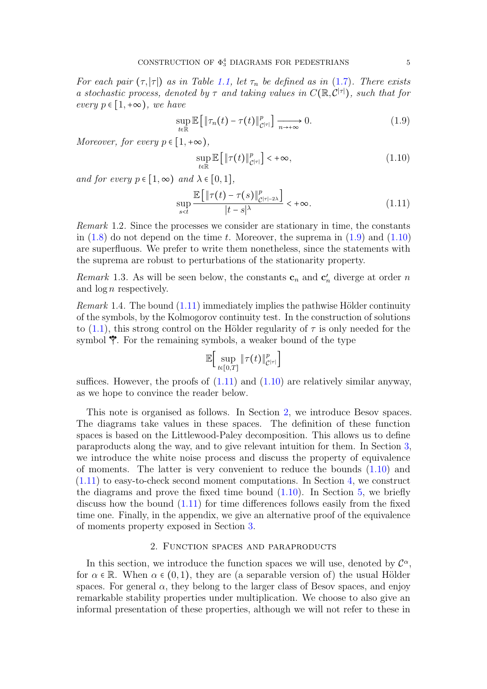For each pair  $(\tau, |\tau|)$  as in Table [1.1,](#page-3-0) let  $\tau_n$  be defined as in [\(1.7\)](#page-3-1). There exists a stochastic process, denoted by  $\tau$  and taking values in  $C(\mathbb{R}, \mathcal{C}^{|\tau|})$ , such that for every  $p \in [1, +\infty)$ , we have

<span id="page-4-0"></span>
$$
\sup_{t \in \mathbb{R}} \mathbb{E}\left[\|\tau_n(t) - \tau(t)\|_{\mathcal{C}^{|\tau|}}^p\right] \xrightarrow[n \to +\infty]{} 0. \tag{1.9}
$$

Moreover, for every  $p \in [1, +\infty)$ ,

<span id="page-4-1"></span>
$$
\sup_{t \in \mathbb{R}} \mathbb{E}\left[\|\tau(t)\|_{\mathcal{C}^{|\tau|}}^p\right] < +\infty,\tag{1.10}
$$

and for every  $p \in [1, \infty)$  and  $\lambda \in [0, 1]$ ,

<span id="page-4-2"></span>
$$
\sup_{s\n(1.11)
$$

Remark 1.2. Since the processes we consider are stationary in time, the constants in  $(1.8)$  do not depend on the time t. Moreover, the suprema in  $(1.9)$  and  $(1.10)$ are superfluous. We prefer to write them nonetheless, since the statements with the suprema are robust to perturbations of the stationarity property.

*Remark* 1.3. As will be seen below, the constants  $\mathbf{c}_n$  and  $\mathbf{c}'_n$  diverge at order n and  $\log n$  respectively.

*Remark* 1.4. The bound  $(1.11)$  immediately implies the pathwise Hölder continuity of the symbols, by the Kolmogorov continuity test. In the construction of solutions to [\(1.1\)](#page-0-0), this strong control on the Hölder regularity of  $\tau$  is only needed for the symbol  $\mathcal V$ . For the remaining symbols, a weaker bound of the type

$$
\mathbb{E}\Big[\sup_{t\in\llbracket 0,T\rrbracket} \|\tau(t)\|_{\mathcal{C}^{|\tau|}}^p\Big]
$$

suffices. However, the proofs of  $(1.11)$  and  $(1.10)$  are relatively similar anyway, as we hope to convince the reader below.

This note is organised as follows. In Section [2,](#page-4-3) we introduce Besov spaces. The diagrams take values in these spaces. The definition of these function spaces is based on the Littlewood-Paley decomposition. This allows us to define paraproducts along the way, and to give relevant intuition for them. In Section [3,](#page-10-0) we introduce the white noise process and discuss the property of equivalence of moments. The latter is very convenient to reduce the bounds [\(1.10\)](#page-4-1) and  $(1.11)$  to easy-to-check second moment computations. In Section [4,](#page-15-0) we construct the diagrams and prove the fixed time bound  $(1.10)$ . In Section [5,](#page-35-0) we briefly discuss how the bound [\(1.11\)](#page-4-2) for time differences follows easily from the fixed time one. Finally, in the appendix, we give an alternative proof of the equivalence of moments property exposed in Section [3.](#page-10-0)

## 2. Function spaces and paraproducts

<span id="page-4-3"></span>In this section, we introduce the function spaces we will use, denoted by  $\mathcal{C}^{\alpha}$ , for  $\alpha \in \mathbb{R}$ . When  $\alpha \in (0,1)$ , they are (a separable version of) the usual Hölder spaces. For general  $\alpha$ , they belong to the larger class of Besov spaces, and enjoy remarkable stability properties under multiplication. We choose to also give an informal presentation of these properties, although we will not refer to these in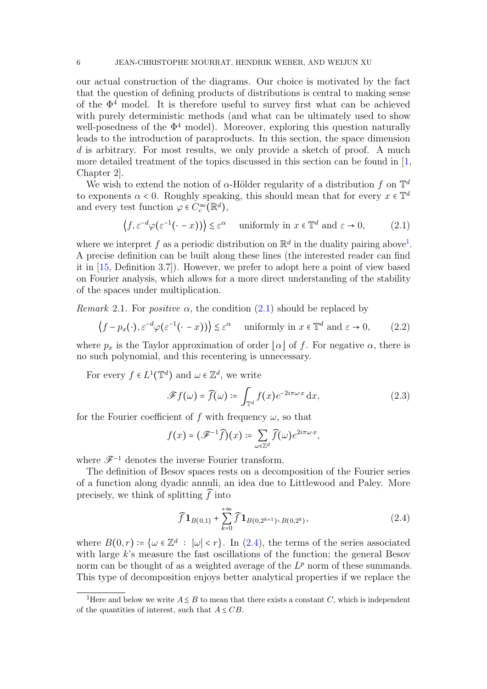our actual construction of the diagrams. Our choice is motivated by the fact that the question of defining products of distributions is central to making sense of the  $\Phi^4$  model. It is therefore useful to survey first what can be achieved with purely deterministic methods (and what can be ultimately used to show well-posedness of the  $\Phi^4$  model). Moreover, exploring this question naturally leads to the introduction of paraproducts. In this section, the space dimension d is arbitrary. For most results, we only provide a sketch of proof. A much more detailed treatment of the topics discussed in this section can be found in [\[1,](#page-37-17) Chapter 2].

We wish to extend the notion of  $\alpha$ -Hölder regularity of a distribution f on  $\mathbb{T}^d$ to exponents  $\alpha < 0$ . Roughly speaking, this should mean that for every  $x \in \mathbb{T}^d$ and every test function  $\varphi \in C_c^{\infty}(\mathbb{R}^d)$ ,

<span id="page-5-1"></span>
$$
\left(f, \varepsilon^{-d} \varphi(\varepsilon^{-1}(\cdot - x))\right) \lesssim \varepsilon^{\alpha} \quad \text{ uniformly in } x \in \mathbb{T}^d \text{ and } \varepsilon \to 0,
$$
 (2.1)

where we interpret f as a periodic distribution on  $\mathbb{R}^d$  in the duality pairing above<sup>[1](#page-5-0)</sup>. A precise definition can be built along these lines (the interested reader can find it in [\[15,](#page-37-9) Definition 3.7]). However, we prefer to adopt here a point of view based on Fourier analysis, which allows for a more direct understanding of the stability of the spaces under multiplication.

Remark 2.1. For *positive*  $\alpha$ , the condition [\(2.1\)](#page-5-1) should be replaced by

$$
\left(f - p_x(\cdot), \varepsilon^{-d} \varphi(\varepsilon^{-1}(\cdot - x))\right) \lesssim \varepsilon^{\alpha} \quad \text{ uniformly in } x \in \mathbb{T}^d \text{ and } \varepsilon \to 0,
$$
 (2.2)

where  $p_x$  is the Taylor approximation of order  $|\alpha|$  of f. For negative  $\alpha$ , there is no such polynomial, and this recentering is unnecessary.

For every  $f \in L^1(\mathbb{T}^d)$  and  $\omega \in \mathbb{Z}^d$ , we write

<span id="page-5-3"></span>
$$
\mathscr{F}f(\omega) = \widehat{f}(\omega) \coloneqq \int_{\mathbb{T}^d} f(x) e^{-2i\pi\omega \cdot x} dx,\tag{2.3}
$$

for the Fourier coefficient of f with frequency  $\omega$ , so that

$$
f(x) = (\mathscr{F}^{-1}\widehat{f})(x) \coloneqq \sum_{\omega \in \mathbb{Z}^d} \widehat{f}(\omega) e^{2i\pi \omega \cdot x},
$$

where  $\mathscr{F}^{-1}$  denotes the inverse Fourier transform.

The definition of Besov spaces rests on a decomposition of the Fourier series of a function along dyadic annuli, an idea due to Littlewood and Paley. More precisely, we think of splitting  $\widehat{f}$  into

<span id="page-5-2"></span>
$$
\widehat{f}\mathbf{1}_{B(0,1)} + \sum_{k=0}^{+\infty} \widehat{f}\mathbf{1}_{B(0,2^{k+1})\setminus B(0,2^k)},\tag{2.4}
$$

where  $B(0,r) \coloneqq {\omega \in \mathbb{Z}^d : |\omega| < r}$ . In [\(2.4\)](#page-5-2), the terms of the series associated<br>with large k's massure the fact assillations of the function, the senarel Bessy with large k's measure the fast oscillations of the function; the general Besov norm can be thought of as a weighted average of the  $L^p$  norm of these summands. This type of decomposition enjoys better analytical properties if we replace the

<span id="page-5-0"></span><sup>&</sup>lt;sup>1</sup>Here and below we write  $A \leq B$  to mean that there exists a constant C, which is independent of the quantities of interest, such that  $A \leq CB$ .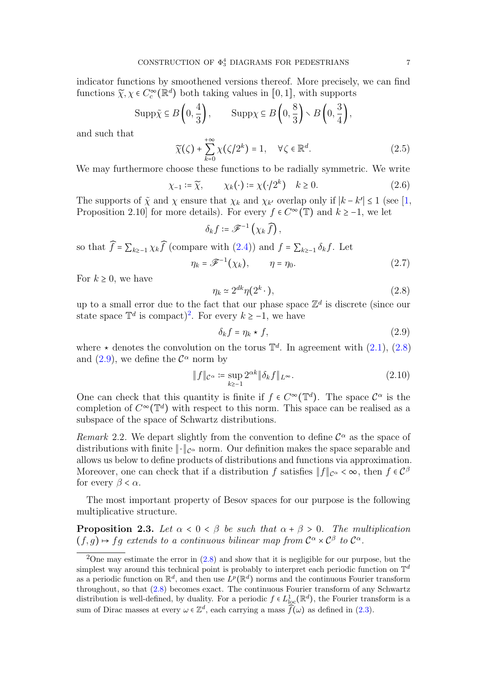indicator functions by smoothened versions thereof. More precisely, we can find functions  $\tilde{\chi}, \chi \in C_c^{\infty}(\mathbb{R}^d)$  both taking values in [0, 1], with supports

$$
\operatorname{Supp}\tilde{\chi} \subseteq B\left(0, \frac{4}{3}\right), \qquad \operatorname{Supp}\chi \subseteq B\left(0, \frac{8}{3}\right) \setminus B\left(0, \frac{3}{4}\right),
$$

and such that

$$
\widetilde{\chi}(\zeta) + \sum_{k=0}^{+\infty} \chi(\zeta/2^k) = 1, \quad \forall \zeta \in \mathbb{R}^d.
$$
 (2.5)

We may furthermore choose these functions to be radially symmetric. We write

$$
\chi_{-1} \coloneqq \widetilde{\chi}, \qquad \chi_k(\cdot) \coloneqq \chi(\cdot/2^k) \quad k \ge 0. \tag{2.6}
$$

The supports of  $\tilde{\chi}$  and  $\chi$  ensure that  $\chi_k$  and  $\chi_{k'}$  overlap only if  $|k - k'| \le 1$  (see [\[1,](#page-37-17) Dependition 2.10] for more details). For growt  $f \in C^\infty(\mathbb{T})$  and  $k > 1$  we let Proposition 2.10] for more details). For every  $f \in C^{\infty}(\mathbb{T})$  and  $k \ge -1$ , we let

$$
\delta_k f \coloneqq \mathscr{F}^{-1}\left(\chi_k \,\widehat{f}\right),
$$

so that  $\widehat{f} = \sum_{k \geq -1} \chi_k \widehat{f}$  (compare with  $(2.4)$ ) and  $f = \sum_{k \geq -1} \delta_k f$ . Let

$$
\eta_k = \mathscr{F}^{-1}(\chi_k), \qquad \eta = \eta_0. \tag{2.7}
$$

For  $k \geq 0$ , we have

<span id="page-6-1"></span>
$$
\eta_k \simeq 2^{dk} \eta(2^k \cdot), \tag{2.8}
$$

up to a small error due to the fact that our phase space  $\mathbb{Z}^d$  is discrete (since our state space  $\mathbb{T}^d$  is compact)<sup>[2](#page-6-0)</sup>. For every  $k \ge -1$ , we have

<span id="page-6-2"></span>
$$
\delta_k f = \eta_k \star f,\tag{2.9}
$$

where  $\star$  denotes the convolution on the torus  $\mathbb{T}^d$ . In agreement with  $(2.1)$ ,  $(2.8)$ and [\(2.9\)](#page-6-2), we define the  $\mathcal{C}^{\alpha}$  norm by

<span id="page-6-4"></span>
$$
\|f\|_{\mathcal{C}^{\alpha}} \coloneqq \sup_{k \ge -1} 2^{\alpha k} \|\delta_k f\|_{L^{\infty}}.
$$
 (2.10)

One can check that this quantity is finite if  $f \in C^{\infty}(\mathbb{T}^d)$ . The space  $C^{\alpha}$  is the completion of  $C^{\infty}(\mathbb{T}^d)$  with respect to this parm. This gpace can be realized as a completion of  $C^{\infty}(\mathbb{T}^d)$  with respect to this norm. This space can be realised as a subspace of the space of Schwartz distributions.

<span id="page-6-5"></span>Remark 2.2. We depart slightly from the convention to define  $\mathcal{C}^{\alpha}$  as the space of distributions with finite.  $|| \cdot ||$  games. Our definition uses the group space less of distributions with  $\alpha$ distributions with finite  $\|\cdot\|_{\mathcal{C}^{\alpha}}$  norm. Our definition makes the space separable and allows us below to define products of distributions and functions via approximation. Moreover, one can check that if a distribution f satisfies  $||f||_{C^{\alpha}} < \infty$ , then  $f \in C^{\beta}$ for every  $\beta < \alpha$ .

The most important property of Besov spaces for our purpose is the following multiplicative structure.

<span id="page-6-3"></span>**Proposition 2.3.** Let  $\alpha < 0 < \beta$  be such that  $\alpha + \beta > 0$ . The multiplication  $(f,g) \mapsto fg$  extends to a continuous bilinear map from  $C^{\alpha} \times C^{\beta}$  to  $C^{\alpha}$ .

<span id="page-6-0"></span><sup>&</sup>lt;sup>2</sup>One may estimate the error in  $(2.8)$  and show that it is negligible for our purpose, but the simplest way around this technical point is probably to interpret each periodic function on  $\mathbb{T}^d$ as a periodic function on  $\mathbb{R}^d$ , and then use  $L^p(\mathbb{R}^d)$  norms and the continuous Fourier transform throughout, so that [\(2.8\)](#page-6-1) becomes exact. The continuous Fourier transform of any Schwartz distribution is well-defined, by duality. For a periodic  $f \in L^1_{loc}(\mathbb{R}^d)$ , the Fourier transform is a sum of Dirac masses at every  $\omega \in \mathbb{Z}^d$ , each carrying a mass  $\widehat{f}(\omega)$  as defined in  $(2.3)$ .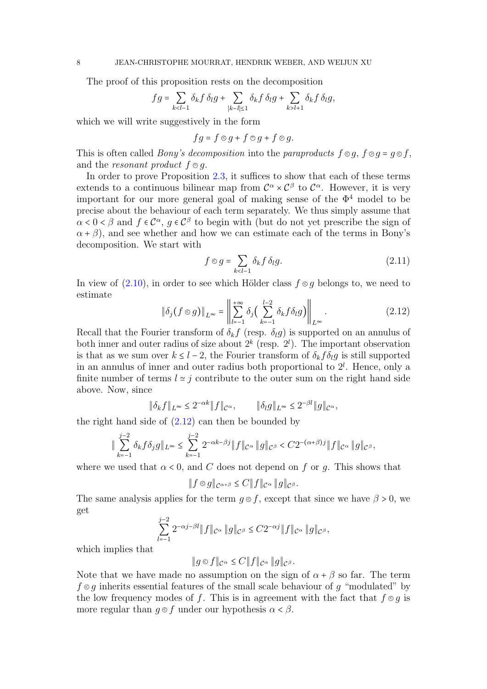The proof of this proposition rests on the decomposition

$$
fg = \sum_{k < l-1} \delta_k f \, \delta_l g + \sum_{|k-l| \leq 1} \delta_k f \, \delta_l g + \sum_{k > l+1} \delta_k f \, \delta_l g,
$$

which we will write suggestively in the form

$$
fg = f \otimes g + f \otimes g + f \otimes g.
$$

This is often called *Bony's decomposition* into the paraproducts  $f \otimes q$ ,  $f \otimes q = q \otimes f$ , and the resonant product  $f \odot q$ .

In order to prove Proposition [2.3,](#page-6-3) it suffices to show that each of these terms extends to a continuous bilinear map from  $C^{\alpha} \times C^{\beta}$  to  $C^{\alpha}$ . However, it is very important for our more general goal of making sense of the  $\Phi^4$  model to be precise about the behaviour of each term separately. We thus simply assume that  $\alpha < 0 < \beta$  and  $f \in C^{\alpha}$ ,  $g \in C^{\beta}$  to begin with (but do not yet prescribe the sign of  $\alpha + \beta$ , and see whether and how we can estimate each of the terms in Bony's decomposition. We start with

$$
f \otimes g = \sum_{k < l-1} \delta_k f \, \delta_l g. \tag{2.11}
$$

In view of  $(2.10)$ , in order to see which Hölder class  $f \otimes g$  belongs to, we need to estimate

<span id="page-7-0"></span>
$$
\|\delta_j(f\otimes g)\|_{L^\infty} = \left\|\sum_{l=-1}^{+\infty} \delta_j\left(\sum_{k=-1}^{l-2} \delta_k f \delta_l g\right)\right\|_{L^\infty}.
$$
\n(2.12)

Recall that the Fourier transform of  $\delta_k f$  (resp.  $\delta_l g$ ) is supported on an annulus of both inner and outer radius of size about  $2^k$  (resp.  $2^l$ ). The important observation is that as we sum over  $k \leq l-2$ , the Fourier transform of  $\delta_k f \delta_l g$  is still supported in an annulus of inner and outer radius both proportional to  $2^l$ . Hence, only a finite number of terms  $l \approx j$  contribute to the outer sum on the right hand side above. Now, since

$$
\|\delta_k f\|_{L^\infty} \le 2^{-\alpha k} \|f\|_{\mathcal{C}^\alpha}, \qquad \|\delta_l g\|_{L^\infty} \le 2^{-\beta l} \|g\|_{\mathcal{C}^\alpha},
$$

the right hand side of  $(2.12)$  can then be bounded by

$$
\|\sum_{k=-1}^{j-2} \delta_k f \delta_j g\|_{L^\infty} \leq \sum_{k=-1}^{j-2} 2^{-\alpha k - \beta j} \|f\|_{\mathcal{C}^\alpha} \|g\|_{\mathcal{C}^\beta} < C 2^{-(\alpha+\beta)j} \|f\|_{\mathcal{C}^\alpha} \|g\|_{\mathcal{C}^\beta},
$$

where we used that  $\alpha < 0$ , and C does not depend on f or q. This shows that

$$
||f \otimes g||_{\mathcal{C}^{\alpha+\beta}} \leq C||f||_{\mathcal{C}^{\alpha}} ||g||_{\mathcal{C}^{\beta}}.
$$

The same analysis applies for the term  $q \otimes f$ , except that since we have  $\beta > 0$ , we get

$$
\sum_{l=-1}^{j-2} 2^{-\alpha j - \beta l} \|f\|_{\mathcal{C}^{\alpha}} \|g\|_{\mathcal{C}^{\beta}} \leq C 2^{-\alpha j} \|f\|_{\mathcal{C}^{\alpha}} \|g\|_{\mathcal{C}^{\beta}},
$$

which implies that

$$
||g \otimes f||_{\mathcal{C}^{\alpha}} \leq C||f||_{\mathcal{C}^{\alpha}} ||g||_{\mathcal{C}^{\beta}}.
$$

Note that we have made no assumption on the sign of  $\alpha + \beta$  so far. The term  $f \otimes q$  inherits essential features of the small scale behaviour of q "modulated" by the low frequency modes of f. This is in agreement with the fact that  $f \otimes g$  is more regular than  $q \otimes f$  under our hypothesis  $\alpha < \beta$ .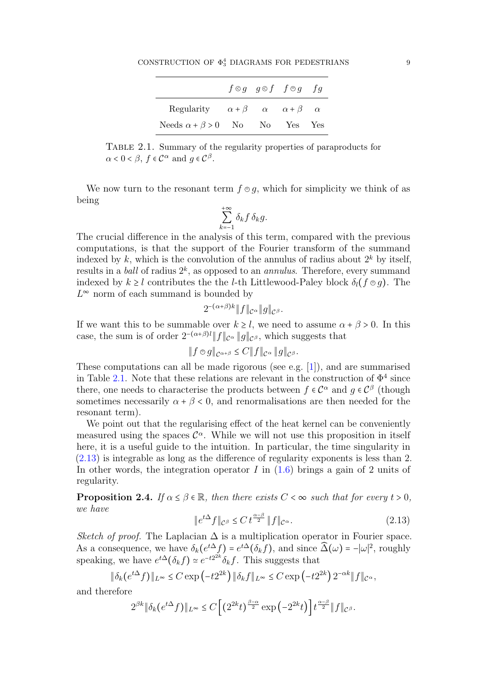|                                                                |  | $f \otimes g$ $g \otimes f$ $f \otimes g$ $fg$ |  |
|----------------------------------------------------------------|--|------------------------------------------------|--|
| Regularity $\alpha + \beta$ $\alpha$ $\alpha + \beta$ $\alpha$ |  |                                                |  |
| Needs $\alpha + \beta > 0$ No No Yes Yes                       |  |                                                |  |

<span id="page-8-0"></span>Table 2.1. Summary of the regularity properties of paraproducts for  $\alpha < 0 < \beta, f \in \mathcal{C}^{\alpha}$  and  $g \in \mathcal{C}^{\beta}$ .

We now turn to the resonant term  $f \in q$ , which for simplicity we think of as being

$$
\sum_{k=-1}^{+\infty} \delta_k f \, \delta_k g.
$$

The crucial difference in the analysis of this term, compared with the previous computations, is that the support of the Fourier transform of the summand indexed by k, which is the convolution of the annulus of radius about  $2^k$  by itself, results in a *ball* of radius  $2^k$ , as opposed to an *annulus*. Therefore, every summand indexed by  $k \geq l$  contributes the l-th Littlewood-Paley block  $\delta_l(f \otimes q)$ . The  $L^{\infty}$  norm of each summand is bounded by

$$
2^{-(\alpha+\beta)k} \|f\|_{\mathcal{C}^{\alpha}} \|g\|_{\mathcal{C}^{\beta}}.
$$

If we want this to be summable over  $k \geq l$ , we need to assume  $\alpha + \beta > 0$ . In this case, the sum is of order  $2^{-(\alpha+\beta)l} ||f||_{\mathcal{C}^{\alpha}} ||g||_{\mathcal{C}^{\beta}}$ , which suggests that

$$
||f\circ g||_{\mathcal{C}^{\alpha+\beta}} \leq C||f||_{\mathcal{C}^{\alpha}}||g||_{\mathcal{C}^{\beta}}.
$$

These computations can all be made rigorous (see e.g. [\[1\]](#page-37-17)), and are summarised in Table [2.1.](#page-8-0) Note that these relations are relevant in the construction of  $\Phi^4$  since there, one needs to characterise the products between  $f \in C^{\alpha}$  and  $g \in C^{\beta}$  (though<br>comptimes necessarily  $g \downarrow \beta \leq 0$  and renormalizations are then needed for the sometimes necessarily  $\alpha + \beta < 0$ , and renormalisations are then needed for the resonant term).

We point out that the regularising effect of the heat kernel can be conveniently measured using the spaces  $\mathcal{C}^{\alpha}$ . While we will not use this proposition in itself<br>have it is a weakel width to the intuition. In particular, the time simularity in here, it is a useful guide to the intuition. In particular, the time singularity in [\(2.13\)](#page-8-1) is integrable as long as the difference of regularity exponents is less than 2. In other words, the integration operator  $I$  in  $(1.6)$  brings a gain of 2 units of regularity.

**Proposition 2.4.** If  $\alpha \leq \beta \in \mathbb{R}$ , then there exists  $C < \infty$  such that for every  $t > 0$ , we have

<span id="page-8-1"></span>
$$
\|e^{t\Delta}f\|_{\mathcal{C}^{\beta}} \le C t^{\frac{\alpha-\beta}{2}} \|f\|_{\mathcal{C}^{\alpha}}.\tag{2.13}
$$

Sketch of proof. The Laplacian  $\Delta$  is a multiplication operator in Fourier space. As a consequence, we have  $\delta_k(e^{t\Delta}f) = e^{t\Delta}(\delta_k f)$ , and since  $\widehat{\Delta}(\omega) = -|\omega|^2$ , roughly speaking, we have  $e^{t\Delta}(\delta_k f) \simeq e^{-t2^{2k}} \delta_k f$ . This suggests that

$$
\|\delta_k(e^{t\Delta}f)\|_{L^\infty} \leq C \exp\left(-t2^{2k}\right) \|\delta_k f\|_{L^\infty} \leq C \exp\left(-t2^{2k}\right) 2^{-\alpha k} \|f\|_{\mathcal{C}^\alpha},
$$

and therefore

$$
2^{\beta k} \|\delta_k(e^{t\Delta} f)\|_{L^\infty} \le C \left[ \left(2^{2k} t\right)^{\frac{\beta-\alpha}{2}} \exp\left(-2^{2k} t\right) \right] t^{\frac{\alpha-\beta}{2}} \|f\|_{\mathcal{C}^\beta}.
$$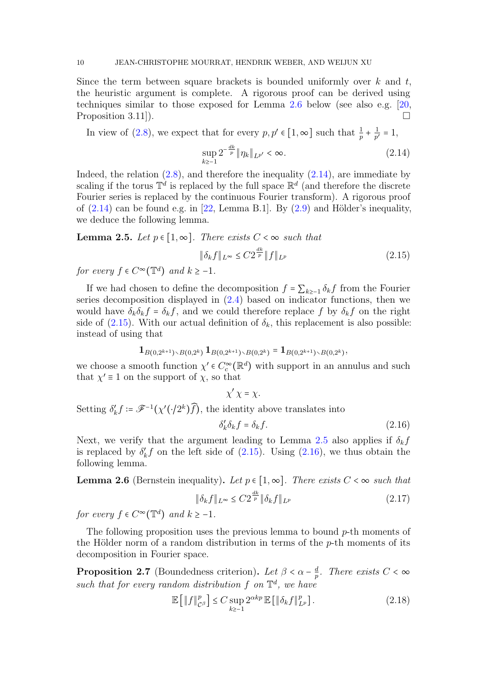Since the term between square brackets is bounded uniformly over  $k$  and  $t$ , the heuristic argument is complete. A rigorous proof can be derived using techniques similar to those exposed for Lemma [2.6](#page-9-0) below (see also e.g. [\[20,](#page-37-18) Proposition 3.11]).

In view of [\(2.8\)](#page-6-1), we expect that for every  $p, p' \in [1, \infty]$  such that  $\frac{1}{p}$  + 1  $\frac{1}{p'}=1,$ 

<span id="page-9-1"></span>
$$
\sup_{k\geq -1} 2^{-\frac{dk}{p}} \|\eta_k\|_{L^{p'}} < \infty. \tag{2.14}
$$

Indeed, the relation  $(2.8)$ , and therefore the inequality  $(2.14)$ , are immediate by scaling if the torus  $\mathbb{T}^d$  is replaced by the full space  $\mathbb{R}^d$  (and therefore the discrete Fourier series is replaced by the continuous Fourier transform). A rigorous proof of  $(2.14)$  can be found e.g. in [\[22,](#page-37-2) Lemma B.1]. By  $(2.9)$  and Hölder's inequality, we deduce the following lemma.

<span id="page-9-3"></span>**Lemma 2.5.** Let  $p \in [1, \infty]$ . There exists  $C < \infty$  such that

<span id="page-9-2"></span>
$$
\|\delta_k f\|_{L^\infty} \le C2^{\frac{dk}{p}} \|f\|_{L^p} \tag{2.15}
$$

for every  $f \in C^{\infty}(\mathbb{T}^d)$  and  $k \geq -1$ .

If we had chosen to define the decomposition  $f = \sum_{k>0} \delta_k f$  from the Fourier series decomposition displayed in [\(2.4\)](#page-5-2) based on indicator functions, then we would have  $\delta_k \delta_k f = \delta_k f$ , and we could therefore replace f by  $\delta_k f$  on the right side of  $(2.15)$ . With our actual definition of  $\delta_k$ , this replacement is also possible: instead of using that

$$
\mathbf{1}_{B(0,2^{k+1})\setminus B(0,2^k)}\mathbf{1}_{B(0,2^{k+1})\setminus B(0,2^k)}=\mathbf{1}_{B(0,2^{k+1})\setminus B(0,2^k)},
$$

we choose a smooth function  $\chi' \in C_c^{\infty}(\mathbb{R}^d)$  with support in an annulus and such that  $\chi' = 1$  on the support of  $\chi$  so that that  $\chi' \equiv 1$  on the support of  $\chi$ , so that

$$
\chi' \chi = \chi.
$$
  
Setting  $\delta'_k f := \mathscr{F}^{-1}(\chi'(\cdot/2^k)\widehat{f})$ , the identity above translates into

<span id="page-9-4"></span>
$$
\delta'_k \delta_k f = \delta_k f. \tag{2.16}
$$

Next, we verify that the argument leading to Lemma [2.5](#page-9-3) also applies if  $\delta_k f$ is replaced by  $\delta'_k f$  on the left side of [\(2.15\)](#page-9-2). Using [\(2.16\)](#page-9-4), we thus obtain the following lemma.

<span id="page-9-0"></span>**Lemma 2.6** (Bernstein inequality). Let  $p \in [1, \infty]$ . There exists  $C < \infty$  such that

$$
\|\delta_k f\|_{L^\infty} \le C2^{\frac{dk}{p}} \|\delta_k f\|_{L^p} \tag{2.17}
$$

for every  $f \in C^{\infty}(\mathbb{T}^d)$  and  $k \geq -1$ .

The following proposition uses the previous lemma to bound  $p$ -th moments of the Hölder norm of a random distribution in terms of the  $p$ -th moments of its decomposition in Fourier space.

<span id="page-9-5"></span>**Proposition 2.7** (Boundedness criterion). Let  $\beta < \alpha - \frac{d}{p}$  $\frac{d}{p}$ . There exists  $C < \infty$ such that for every random distribution  $f$  on  $\mathbb{T}^d$ , we have

<span id="page-9-6"></span>
$$
\mathbb{E}\left[\|f\|_{\mathcal{C}^{\beta}}^p\right] \le C \sup_{k\ge 1} 2^{\alpha kp} \mathbb{E}\left[\|\delta_k f\|_{L^p}^p\right].\tag{2.18}
$$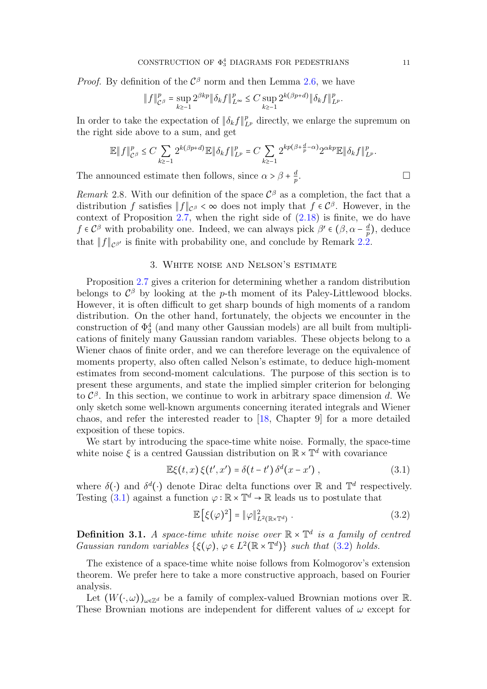*Proof.* By definition of the  $C^{\beta}$  norm and then Lemma [2.6,](#page-9-0) we have

$$
\|f\|_{C^{\beta}}^p = \sup_{k \geq -1} 2^{\beta kp} \|\delta_k f\|_{L^{\infty}}^p \leq C \sup_{k \geq -1} 2^{k(\beta p + d)} \|\delta_k f\|_{L^p}^p.
$$

In order to take the expectation of  $\|\delta_k f\|_{L^p}^p$  directly, we enlarge the supremum on the right side above to a sum, and get

$$
\mathbb{E}||f||_{\mathcal{C}^{\beta}}^{p} \leq C \sum_{k \geq -1} 2^{k(\beta p + d)} \mathbb{E}||\delta_{k}f||_{L^{p}}^{p} = C \sum_{k \geq -1} 2^{kp(\beta + \frac{d}{p} - \alpha)} 2^{\alpha kp} \mathbb{E}||\delta_{k}f||_{L^{p}}^{p}.
$$
  
nonuced estimate then follows, since  $\alpha > \beta + \frac{d}{p}$ .

The announced estimate then follows, since  $\alpha > \beta + \frac{d}{p}$ p

Remark 2.8. With our definition of the space  $\mathcal{C}^{\beta}$  as a completion, the fact that a distribution f satisfies  $\|\mathbf{f}\|$  of a does not imply that f  $\epsilon \mathcal{C}^{\beta}$ . However, in the distribution f satisfies  $||f||_{\mathcal{C}^{\beta}} < \infty$  does not imply that  $f \in \mathcal{C}^{\beta}$ . However, in the context of Proposition  $2.7$ , when the right side of  $(2.18)$  is finite, we do have  $f \in C^{\beta}$  with probability one. Indeed, we can always pick  $\beta' \in (\beta, \alpha - \frac{d}{p})$  $(\frac{d}{p})$ , deduce that  $||f||_{\mathcal{C}^{\beta'}}$  is finite with probability one, and conclude by Remark [2.2.](#page-6-5)

# 3. White noise and Nelson's estimate

<span id="page-10-0"></span>Proposition [2.7](#page-9-5) gives a criterion for determining whether a random distribution belongs to  $\mathcal{C}^{\beta}$  by looking at the p-th moment of its Paley-Littlewood blocks. However, it is often difficult to get sharp bounds of high moments of a random distribution. On the other hand, fortunately, the objects we encounter in the construction of  $\Phi_3^4$  (and many other Gaussian models) are all built from multiplications of finitely many Gaussian random variables. These objects belong to a Wiener chaos of finite order, and we can therefore leverage on the equivalence of moments property, also often called Nelson's estimate, to deduce high-moment estimates from second-moment calculations. The purpose of this section is to present these arguments, and state the implied simpler criterion for belonging to  $\mathcal{C}^{\beta}$ . In this section, we continue to work in arbitrary space dimension d. We only sketch some well-known arguments concerning iterated integrals and Wiener chaos, and refer the interested reader to [\[18,](#page-37-19) Chapter 9] for a more detailed exposition of these topics.

We start by introducing the space-time white noise. Formally, the space-time white noise  $\xi$  is a centred Gaussian distribution on  $\mathbb{R} \times \mathbb{T}^d$  with covariance

<span id="page-10-1"></span>
$$
\mathbb{E}\xi(t,x)\,\xi(t',x')=\delta(t-t')\,\delta^d(x-x')\,,\tag{3.1}
$$

where  $\delta(\cdot)$  and  $\delta^d(\cdot)$  denote Dirac delta functions over R and  $\mathbb{T}^d$  respectively. Testing [\(3.1\)](#page-10-1) against a function  $\varphi : \mathbb{R} \times \mathbb{T}^d \to \mathbb{R}$  leads us to postulate that

<span id="page-10-2"></span>
$$
\mathbb{E}\left[\xi(\varphi)^2\right] = \|\varphi\|_{L^2(\mathbb{R}\times\mathbb{T}^d)}^2.
$$
\n(3.2)

**Definition 3.1.** A space-time white noise over  $\mathbb{R} \times \mathbb{T}^d$  is a family of centred<br>Convergence and properties  $(G(x), y \in L^2(\mathbb{R} \times \mathbb{T}^d))$  and that  $(2, 2)$  holds Gaussian random variables  $\{\xi(\varphi), \varphi \in L^2(\mathbb{R} \times \mathbb{T}^d)\}\$  such that [\(3.2\)](#page-10-2) holds.

The existence of a space-time white noise follows from Kolmogorov's extension theorem. We prefer here to take a more constructive approach, based on Fourier analysis.

Let  $(W(\cdot,\omega))_{\omega \in \mathbb{Z}^d}$  be a family of complex-valued Brownian motions over R. These Brownian motions are independent for different values of  $\omega$  except for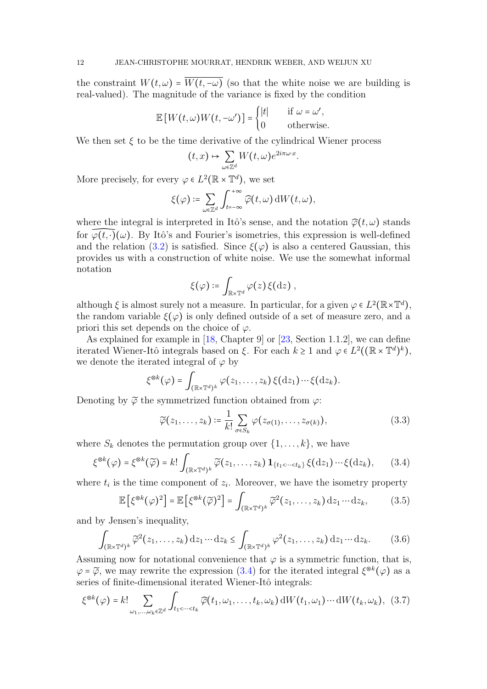the constraint  $W(t, \omega) = \overline{W(t, -\omega)}$  (so that the white noise we are building is real-valued). The magnitude of the variance is fixed by the condition

$$
\mathbb{E}\left[W(t,\omega)W(t,-\omega')\right] = \begin{cases} |t| & \text{if } \omega = \omega',\\ 0 & \text{otherwise.} \end{cases}
$$

We then set  $\xi$  to be the time derivative of the cylindrical Wiener process

$$
(t,x) \mapsto \sum_{\omega \in \mathbb{Z}^d} W(t,\omega) e^{2i\pi \omega \cdot x}
$$

.

More precisely, for every  $\varphi \in L^2(\mathbb{R} \times \mathbb{T}^d)$ , we set

$$
\xi(\varphi)\coloneqq \sum_{\omega\in\mathbb{Z}^d}\int_{t=-\infty}^{+\infty}\widehat{\varphi}(t,\omega)\,\mathrm{d} W\big(t,\omega\big),
$$

where the integral is interpreted in Itô's sense, and the notation  $\hat{\varphi}(t,\omega)$  stands for  $\varphi(t, \cdot)(\omega)$ . By Itô's and Fourier's isometries, this expression is well-defined and the relation [\(3.2\)](#page-10-2) is satisfied. Since  $\xi(\varphi)$  is also a centered Gaussian, this provides us with a construction of white noise. We use the somewhat informal notation

$$
\xi(\varphi) \coloneqq \int_{\mathbb{R} \times \mathbb{T}^d} \varphi(z) \, \xi(\mathrm{d} z) \ ,
$$

although  $\xi$  is almost surely not a measure. In particular, for a given  $\varphi \in L^2(\mathbb{R} \times \mathbb{T}^d)$ , the random variable  $\xi(\varphi)$  is only defined outside of a set of measure zero, and a priori this set depends on the choice of  $\varphi$ .

As explained for example in [\[18,](#page-37-19) Chapter 9] or [\[23,](#page-38-4) Section 1.1.2], we can define iterated Wiener-Itô integrals based on  $\xi$ . For each  $k \geq 1$  and  $\varphi \in L^2((\mathbb{R} \times \mathbb{T}^d)^k)$ , we denote the iterated integral of  $\varphi$  by

$$
\xi^{\otimes k}(\varphi) = \int_{(\mathbb{R} \times \mathbb{T}^d)^k} \varphi(z_1,\ldots,z_k) \, \xi(\mathrm{d} z_1) \cdots \xi(\mathrm{d} z_k).
$$

Denoting by  $\widetilde{\varphi}$  the symmetrized function obtained from  $\varphi$ :

<span id="page-11-2"></span>
$$
\widetilde{\varphi}(z_1,\ldots,z_k) \coloneqq \frac{1}{k!} \sum_{\sigma \in S_k} \varphi(z_{\sigma(1)},\ldots,z_{\sigma(k)}), \tag{3.3}
$$

where  $S_k$  denotes the permutation group over  $\{1, \ldots, k\}$ , we have

<span id="page-11-0"></span>
$$
\xi^{\otimes k}(\varphi) = \xi^{\otimes k}(\widetilde{\varphi}) = k! \int_{(\mathbb{R} \times \mathbb{T}^d)^k} \widetilde{\varphi}(z_1, \dots, z_k) \mathbf{1}_{\{t_1 < \dots < t_k\}} \xi(\mathrm{d} z_1) \cdots \xi(\mathrm{d} z_k), \qquad (3.4)
$$

where  $t_i$  is the time component of  $z_i$ . Moreover, we have the isometry property

<span id="page-11-3"></span>
$$
\mathbb{E}\left[\xi^{\otimes k}(\varphi)^2\right] = \mathbb{E}\left[\xi^{\otimes k}(\widetilde{\varphi})^2\right] = \int_{(\mathbb{R}\times\mathbb{T}^d)^k} \widetilde{\varphi}^2(z_1,\ldots,z_k) \,dz_1\cdots dz_k,\tag{3.5}
$$

and by Jensen's inequality,

<span id="page-11-4"></span>
$$
\int_{(\mathbb{R}\times\mathbb{T}^d)^k} \widetilde{\varphi}^2(z_1,\ldots,z_k) \,dz_1\cdots dz_k \le \int_{(\mathbb{R}\times\mathbb{T}^d)^k} \varphi^2(z_1,\ldots,z_k) \,dz_1\cdots dz_k. \tag{3.6}
$$

Assuming now for notational convenience that  $\varphi$  is a symmetric function, that is,  $\varphi = \widetilde{\varphi}$ , we may rewrite the expression [\(3.4\)](#page-11-0) for the iterated integral  $\xi^{\otimes k}(\varphi)$  as a<br>covice of finite dimensional iterated Wiener Itâ integrals: series of finite-dimensional iterated Wiener-Itô integrals:

<span id="page-11-1"></span>
$$
\xi^{\otimes k}(\varphi) = k! \sum_{\omega_1, \dots, \omega_k \in \mathbb{Z}^d} \int_{t_1 < \dots < t_k} \widehat{\varphi}(t_1, \omega_1, \dots, t_k, \omega_k) \, \mathrm{d}W(t_1, \omega_1) \cdots \mathrm{d}W(t_k, \omega_k), \tag{3.7}
$$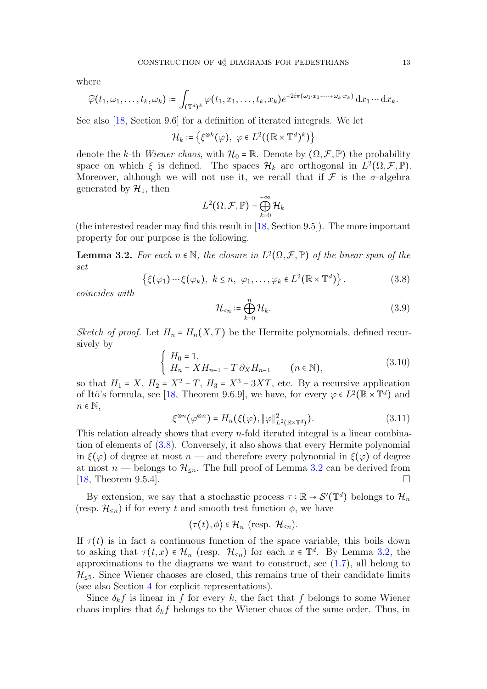where

$$
\widehat{\varphi}(t_1,\omega_1,\ldots,t_k,\omega_k)\coloneqq \int_{(\mathbb{T}^d)^k} \varphi(t_1,x_1,\ldots,t_k,x_k)e^{-2i\pi(\omega_1\cdot x_1+\cdots+\omega_k\cdot x_k)}\,\mathrm{d} x_1\cdots\mathrm{d} x_k.
$$

See also [\[18,](#page-37-19) Section 9.6] for a definition of iterated integrals. We let

$$
\mathcal{H}_k \coloneqq \left\{ \xi^{\otimes k}(\varphi), \ \varphi \in L^2((\mathbb{R} \times \mathbb{T}^d)^k) \right\}
$$

denote the k-th Wiener chaos, with  $\mathcal{H}_0 = \mathbb{R}$ . Denote by  $(\Omega, \mathcal{F}, \mathbb{P})$  the probability space on which  $\xi$  is defined. The spaces  $\mathcal{H}_k$  are orthogonal in  $L^2(\Omega, \mathcal{F}, \mathbb{P})$ . Moreover, although we will not use it, we recall that if  $\mathcal F$  is the  $\sigma$ -algebra generated by  $\mathcal{H}_1$ , then

$$
L^2(\Omega,\mathcal{F},\mathbb{P})=\bigoplus_{k=0}^{+\infty}\mathcal{H}_k
$$

(the interested reader may find this result in [\[18,](#page-37-19) Section 9.5]). The more important property for our purpose is the following.

<span id="page-12-1"></span>**Lemma 3.2.** For each  $n \in \mathbb{N}$ , the closure in  $L^2(\Omega, \mathcal{F}, \mathbb{P})$  of the linear span of the set

<span id="page-12-0"></span>
$$
\{\xi(\varphi_1)\cdots\xi(\varphi_k),\ k\leq n,\ \varphi_1,\ldots,\varphi_k\in L^2(\mathbb{R}\times\mathbb{T}^d)\}.
$$
 (3.8)

coincides with

$$
\mathcal{H}_{\leq n} \coloneqq \bigoplus_{k=0}^{n} \mathcal{H}_{k}.\tag{3.9}
$$

Sketch of proof. Let  $H_n = H_n(X,T)$  be the Hermite polynomials, defined recursively by

$$
\begin{cases}\nH_0 = 1, \\
H_n = XH_{n-1} - T \partial_X H_{n-1} \quad (n \in \mathbb{N}),\n\end{cases} (3.10)
$$

so that  $H_1 = X$ ,  $H_2 = X^2 - T$ ,  $H_3 = X^3 - 3XT$ , etc. By a recursive application of Italy formula see [18] Theorem 0.6.0] we have for event  $(6.52 \times 27)$  and and of Itô's formula, see [\[18,](#page-37-19) Theorem 9.6.9], we have, for every  $\varphi \in L^2(\mathbb{R} \times \mathbb{T}^d)$  and  $n \in \mathbb{N}$ ,

<span id="page-12-2"></span>
$$
\xi^{\otimes n}(\varphi^{\otimes n}) = H_n(\xi(\varphi), \|\varphi\|_{L^2(\mathbb{R} \times \mathbb{T}^d)}^2). \tag{3.11}
$$

This relation already shows that every  $n$ -fold iterated integral is a linear combination of elements of [\(3.8\)](#page-12-0). Conversely, it also shows that every Hermite polynomial in  $\xi(\varphi)$  of degree at most  $n$  — and therefore every polynomial in  $\xi(\varphi)$  of degree at most *n* — belongs to  $\mathcal{H}_{\leq n}$ . The full proof of Lemma [3.2](#page-12-1) can be derived from [18. Theorem 9.5.4]. [\[18,](#page-37-19) Theorem 9.5.4].

By extension, we say that a stochastic process  $\tau : \mathbb{R} \to \mathcal{S}'(\mathbb{T}^d)$  belongs to  $\mathcal{H}_n$ (resp.  $\mathcal{H}_{\leq n}$ ) if for every t and smooth test function  $\phi$ , we have

$$
\langle \tau(t), \phi \rangle \in \mathcal{H}_n \text{ (resp. } \mathcal{H}_{\leq n}).
$$

If  $\tau(t)$  is in fact a continuous function of the space variable, this boils down to asking that  $\tau(t,x) \in \mathcal{H}_n$  (resp.  $\mathcal{H}_{\leq n}$ ) for each  $x \in \mathbb{T}^d$ . By Lemma [3.2,](#page-12-1) the approximations to the diagrams we want to construct, see  $(1.7)$ , all belong to  $\mathcal{H}_{\leq 5}$ . Since Wiener chaoses are closed, this remains true of their candidate limits (see also Section [4](#page-15-0) for explicit representations).

Since  $\delta_k f$  is linear in f for every k, the fact that f belongs to some Wiener chaos implies that  $\delta_k f$  belongs to the Wiener chaos of the same order. Thus, in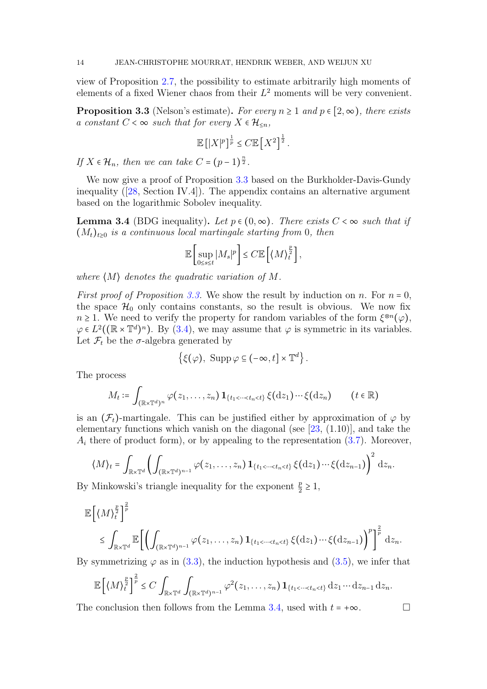view of Proposition [2.7,](#page-9-5) the possibility to estimate arbitrarily high moments of elements of a fixed Wiener chaos from their  $L^2$  moments will be very convenient.

<span id="page-13-0"></span>**Proposition 3.3** (Nelson's estimate). For every  $n \ge 1$  and  $p \in [2, \infty)$ , there exists a constant  $C < \infty$  such that for every  $X \in \mathcal{H}_{\leq n}$ ,

$$
\mathbb{E}\left[|X|^p\right]^{\frac{1}{p}} \leq C \mathbb{E}\left[X^2\right]^{\frac{1}{2}}.
$$

If  $X \in \mathcal{H}_n$ , then we can take  $C = (p-1)^{\frac{n}{2}}$ .

We now give a proof of Proposition [3.3](#page-13-0) based on the Burkholder-Davis-Gundy inequality ([\[28,](#page-38-5) Section IV.4]). The appendix contains an alternative argument based on the logarithmic Sobolev inequality.

<span id="page-13-1"></span>**Lemma 3.4** (BDG inequality). Let  $p \in (0, \infty)$ . There exists  $C < \infty$  such that if  $(M_t)_{t>0}$  is a continuous local martingale starting from 0, then

$$
\mathbb{E}\left[\sup_{0\leq s\leq t}|M_s|^p\right]\leq C\mathbb{E}\left[\left\langle M\right\rangle_t^{\frac{p}{2}}\right],
$$

where  $\langle M \rangle$  denotes the quadratic variation of M.

*First proof of Proposition [3.3.](#page-13-0)* We show the result by induction on n. For  $n = 0$ , the space  $\mathcal{H}_0$  only contains constants, so the result is obvious. We now fix  $n \geq 1$ . We need to verify the property for random variables of the form  $\xi^{\otimes n}(\varphi)$ ,<br> $\zeta \in L^2((\mathbb{R} \times \mathbb{T}^d)^n)$ ,  $\mathbb{R}$   $(2,4)$ , we may assume that  $\zeta$  is symmetric in its variables  $\varphi \in L^2((\mathbb{R} \times \mathbb{T}^d)^n)$ . By [\(3.4\)](#page-11-0), we may assume that  $\varphi$  is symmetric in its variables. Let  $\mathcal{F}_t$  be the  $\sigma$ -algebra generated by

$$
\left\{\xi(\varphi),\; \operatorname{Supp}\varphi\subseteq(-\infty,t]\times\mathbb{T}^d\right\}.
$$

The process

$$
M_t \coloneqq \int_{(\mathbb{R} \times \mathbb{T}^d)^n} \varphi(z_1, \ldots, z_n) \, \mathbf{1}_{\{t_1 < \cdots < t_n < t\}} \, \xi(\mathrm{d} z_1) \cdots \xi(\mathrm{d} z_n) \qquad (t \in \mathbb{R})
$$

is an  $(\mathcal{F}_t)$ -martingale. This can be justified either by approximation of  $\varphi$  by elementary functions which vanish on the diagonal (see  $[23, (1.10)]$  $[23, (1.10)]$ , and take the  $A_i$  there of product form), or by appealing to the representation [\(3.7\)](#page-11-1). Moreover,

$$
\langle M\rangle_t = \int_{\mathbb{R}\times\mathbb{T}^d} \left( \int_{(\mathbb{R}\times\mathbb{T}^d)^{n-1}} \varphi(z_1,\ldots,z_n) \mathbf{1}_{\{t_1<\cdots
$$

By Minkowski's triangle inequality for the exponent  $\frac{p}{2} \ge 1$ ,

$$
\mathbb{E}\left[\langle M \rangle_t^{\frac{p}{2}}\right]^{\frac{2}{p}} \leq \int_{\mathbb{R} \times \mathbb{T}^d} \mathbb{E}\left[\left(\int_{(\mathbb{R} \times \mathbb{T}^d)^{n-1}} \varphi(z_1,\ldots,z_n) \mathbf{1}_{\{t_1 < \cdots < t_n < t\}} \xi(\mathrm{d} z_1) \cdots \xi(\mathrm{d} z_{n-1})\right)^p\right]^{\frac{2}{p}} \mathrm{d} z_n.
$$

By symmetrizing  $\varphi$  as in [\(3.3\)](#page-11-2), the induction hypothesis and [\(3.5\)](#page-11-3), we infer that

$$
\mathbb{E}\left[\left\langle M\right\rangle_t^{\frac{p}{2}}\right]^{\frac{2}{p}} \leq C \int_{\mathbb{R}\times\mathbb{T}^d} \int_{(\mathbb{R}\times\mathbb{T}^d)^{n-1}} \varphi^2(z_1,\ldots,z_n) \mathbf{1}_{\{t_1 < \cdots < t_n < t\}} \, \mathrm{d}z_1 \cdots \mathrm{d}z_{n-1} \, \mathrm{d}z_n.
$$

The conclusion then follows from the Lemma [3.4,](#page-13-1) used with  $t = +\infty$ .

$$
\sqcap
$$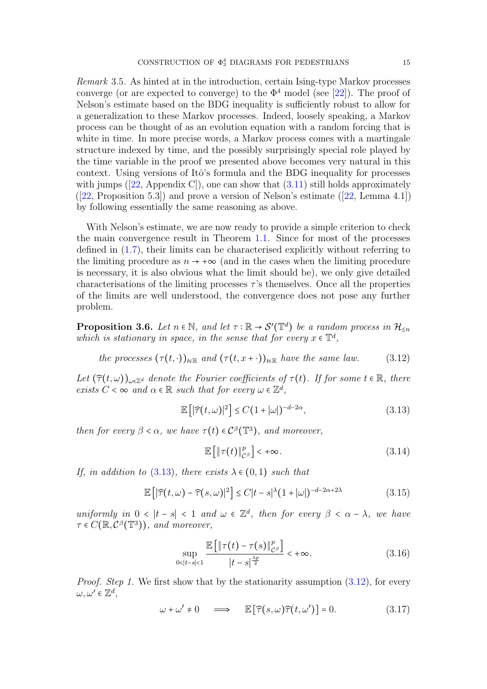Remark 3.5. As hinted at in the introduction, certain Ising-type Markov processes converge (or are expected to converge) to the  $\Phi^4$  model (see [\[22\]](#page-37-2)). The proof of Nelson's estimate based on the BDG inequality is sufficiently robust to allow for a generalization to these Markov processes. Indeed, loosely speaking, a Markov process can be thought of as an evolution equation with a random forcing that is white in time. In more precise words, a Markov process comes with a martingale structure indexed by time, and the possibly surprisingly special role played by the time variable in the proof we presented above becomes very natural in this context. Using versions of Itô's formula and the BDG inequality for processes with jumps ([\[22,](#page-37-2) Appendix C]), one can show that  $(3.11)$  still holds approximately  $([22, Proposition 5.3])$  $([22, Proposition 5.3])$  $([22, Proposition 5.3])$  and prove a version of Nelson's estimate  $([22, Lemma 4.1])$ by following essentially the same reasoning as above.

With Nelson's estimate, we are now ready to provide a simple criterion to check the main convergence result in Theorem [1.1.](#page-3-4) Since for most of the processes defined in [\(1.7\)](#page-3-1), their limits can be characterised explicitly without referring to the limiting procedure as  $n \to +\infty$  (and in the cases when the limiting procedure is necessary, it is also obvious what the limit should be), we only give detailed characterisations of the limiting processes  $\tau$ 's themselves. Once all the properties of the limits are well understood, the convergence does not pose any further problem.

<span id="page-14-6"></span>**Proposition 3.6.** Let  $n \in \mathbb{N}$ , and let  $\tau : \mathbb{R} \to S'(\mathbb{T}^d)$  be a random process in  $\mathcal{H}_{\leq n}$ which is stationary in space, in the sense that for every  $x \in \mathbb{T}^d$ ,

<span id="page-14-1"></span>the processes 
$$
(\tau(t,\cdot))_{t\in\mathbb{R}}
$$
 and  $(\tau(t,x+\cdot))_{t\in\mathbb{R}}$  have the same law. (3.12)

Let  $(\widehat{\tau}(t,\omega))_{\omega \in \mathbb{Z}^d}$  denote the Fourier coefficients of  $\tau(t)$ . If for some  $t \in \mathbb{R}$ , there exists  $C < \infty$  and  $\alpha \in \mathbb{R}$  such that for every  $\omega \in \mathbb{Z}^d$ ,

<span id="page-14-0"></span>
$$
\mathbb{E}\left[|\widehat{\tau}(t,\omega)|^2\right] \le C(1+|\omega|)^{-d-2\alpha},\tag{3.13}
$$

then for every  $\beta < \alpha$ , we have  $\tau(t) \in C^{\beta}(\mathbb{T}^3)$ , and moreover,

<span id="page-14-4"></span>
$$
\mathbb{E}\left[\|\tau(t)\|_{\mathcal{C}^{\beta}}^p\right] < +\infty. \tag{3.14}
$$

If, in addition to [\(3.13\)](#page-14-0), there exists  $\lambda \in (0,1)$  such that

<span id="page-14-5"></span>
$$
\mathbb{E}\left[|\widehat{\tau}(t,\omega)-\widehat{\tau}(s,\omega)|^2\right] \le C|t-s|^{\lambda}(1+|\omega|)^{-d-2\alpha+2\lambda} \tag{3.15}
$$

uniformly in  $0 < |t - s| < 1$  and  $\omega \in \mathbb{Z}^d$ , then for every  $\beta < \alpha - \lambda$ , we have  $\tau \in C(\mathbb{R}, C^{\beta}(\mathbb{T}^3)),$  and moreover,

<span id="page-14-3"></span>
$$
\sup_{0<|t-s|<1} \frac{\mathbb{E}\left[\|\tau(t)-\tau(s)\|_{\mathcal{C}^{\beta}}^p\right]}{|t-s|^{\frac{\lambda p}{2}}}<+\infty.
$$
\n(3.16)

Proof. Step 1. We first show that by the stationarity assumption  $(3.12)$ , for every  $\omega, \omega' \in \mathbb{Z}^d$ ,

<span id="page-14-2"></span>
$$
\omega + \omega' \neq 0 \quad \Longrightarrow \quad \mathbb{E}\left[\widehat{\tau}(s,\omega)\widehat{\tau}(t,\omega')\right] = 0. \tag{3.17}
$$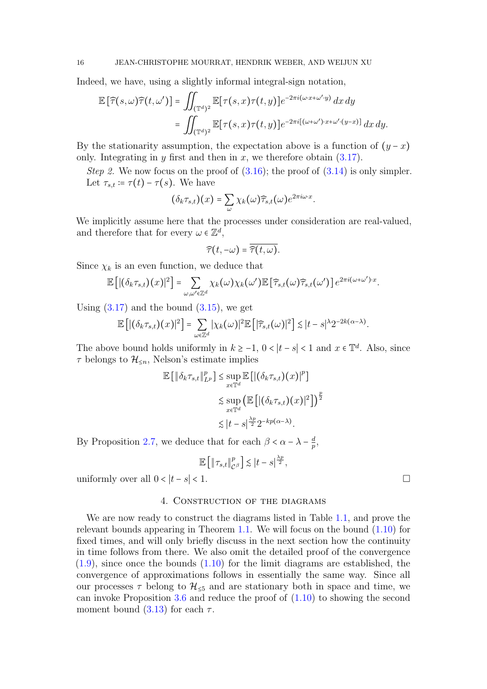Indeed, we have, using a slightly informal integral-sign notation,

$$
\mathbb{E}\left[\widehat{\tau}(s,\omega)\widehat{\tau}(t,\omega')\right] = \iint_{(\mathbb{T}^d)^2} \mathbb{E}[\tau(s,x)\tau(t,y)]e^{-2\pi i(\omega\cdot x+\omega'\cdot y)} dx dy
$$
  
= 
$$
\iint_{(\mathbb{T}^d)^2} \mathbb{E}[\tau(s,x)\tau(t,y)]e^{-2\pi i[(\omega+\omega')\cdot x+\omega'(y-x)]} dx dy.
$$

By the stationarity assumption, the expectation above is a function of  $(y - x)$ only. Integrating in  $y$  first and then in  $x$ , we therefore obtain  $(3.17)$ .

Step 2. We now focus on the proof of  $(3.16)$ ; the proof of  $(3.14)$  is only simpler. Let  $\tau_{s,t} \coloneqq \tau(t) - \tau(s)$ . We have

$$
(\delta_k \tau_{s,t})(x) = \sum_{\omega} \chi_k(\omega) \widehat{\tau}_{s,t}(\omega) e^{2\pi i \omega \cdot x}.
$$

We implicitly assume here that the processes under consideration are real-valued, and therefore that for every  $\omega \in \mathbb{Z}^d$ ,

$$
\widehat{\tau}(t,-\omega)=\overline{\widehat{\tau}(t,\omega)}.
$$

Since  $\chi_k$  is an even function, we deduce that

$$
\mathbb{E}\left[\left|(\delta_k \tau_{s,t})(x)\right|^2\right] = \sum_{\omega,\omega'\in\mathbb{Z}^d} \chi_k(\omega)\chi_k(\omega') \mathbb{E}\left[\widehat{\tau}_{s,t}(\omega)\widehat{\tau}_{s,t}(\omega')\right] e^{2\pi i(\omega+\omega')\cdot x}.
$$

Using  $(3.17)$  and the bound  $(3.15)$ , we get

$$
\mathbb{E}\left[|(\delta_k \tau_{s,t})(x)|^2\right] = \sum_{\omega \in \mathbb{Z}^d} |\chi_k(\omega)|^2 \mathbb{E}\left[|\widehat{\tau}_{s,t}(\omega)|^2\right] \lesssim |t-s|^{\lambda} 2^{-2k(\alpha-\lambda)}.
$$

The above bound holds uniformly in  $k \ge -1$ ,  $0 < |t - s| < 1$  and  $x \in \mathbb{T}^d$ . Also, since  $\tau$  belongs to  $\mathcal{H}_{\leq n}$ , Nelson's estimate implies

$$
\mathbb{E} [\|\delta_k \tau_{s,t}\|_{L^p}^p] \leq \sup_{x \in \mathbb{T}^d} \mathbb{E} [|\left(\delta_k \tau_{s,t}\right)(x)|^p]
$$
  

$$
\lesssim \sup_{x \in \mathbb{T}^d} \left(\mathbb{E} \left[|\left(\delta_k \tau_{s,t}\right)(x)|^2\right]\right)^{\frac{p}{2}}
$$
  

$$
\lesssim |t-s|^{\frac{\lambda p}{2}} 2^{-kp(\alpha-\lambda)}.
$$

By Proposition [2.7,](#page-9-5) we deduce that for each  $\beta < \alpha - \lambda - \frac{d}{p}$  $\frac{d}{p},$ 

$$
\mathbb{E}\left[\left\|\tau_{s,t}\right\|_{\mathcal{C}^{\beta}}^{p}\right] \lesssim |t-s|^{\frac{\lambda p}{2}},
$$

uniformly over all  $0 < |t - s| < 1$ .

### 4. Construction of the diagrams

<span id="page-15-0"></span>We are now ready to construct the diagrams listed in Table [1.1,](#page-3-0) and prove the relevant bounds appearing in Theorem [1.1.](#page-3-4) We will focus on the bound  $(1.10)$  for fixed times, and will only briefly discuss in the next section how the continuity in time follows from there. We also omit the detailed proof of the convergence  $(1.9)$ , since once the bounds  $(1.10)$  for the limit diagrams are established, the convergence of approximations follows in essentially the same way. Since all our processes  $\tau$  belong to  $\mathcal{H}_{\leq 5}$  and are stationary both in space and time, we can invoke Proposition [3.6](#page-14-6) and reduce the proof of [\(1.10\)](#page-4-1) to showing the second moment bound  $(3.13)$  for each  $\tau$ .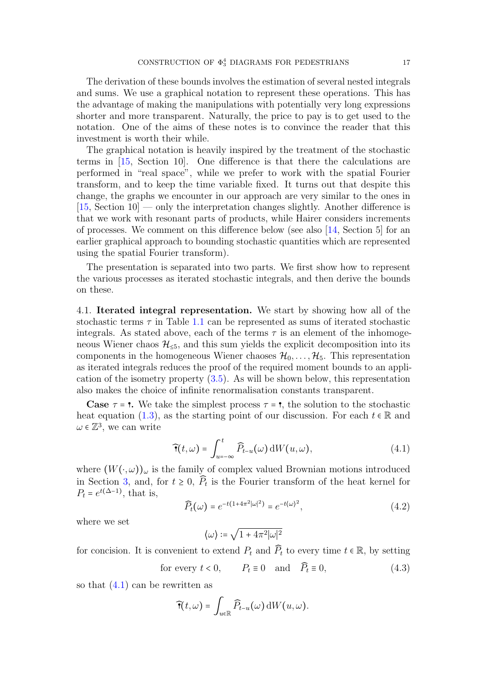The derivation of these bounds involves the estimation of several nested integrals and sums. We use a graphical notation to represent these operations. This has the advantage of making the manipulations with potentially very long expressions shorter and more transparent. Naturally, the price to pay is to get used to the notation. One of the aims of these notes is to convince the reader that this investment is worth their while.

The graphical notation is heavily inspired by the treatment of the stochastic terms in [\[15,](#page-37-9) Section 10]. One difference is that there the calculations are performed in "real space", while we prefer to work with the spatial Fourier transform, and to keep the time variable fixed. It turns out that despite this change, the graphs we encounter in our approach are very similar to the ones in [\[15,](#page-37-9) Section 10] — only the interpretation changes slightly. Another difference is that we work with resonant parts of products, while Hairer considers increments of processes. We comment on this difference below (see also [\[14,](#page-37-10) Section 5] for an earlier graphical approach to bounding stochastic quantities which are represented using the spatial Fourier transform).

The presentation is separated into two parts. We first show how to represent the various processes as iterated stochastic integrals, and then derive the bounds on these.

4.1. Iterated integral representation. We start by showing how all of the stochastic terms  $\tau$  in Table [1.1](#page-3-0) can be represented as sums of iterated stochastic integrals. As stated above, each of the terms  $\tau$  is an element of the inhomogeneous Wiener chaos  $\mathcal{H}_{\leq 5}$ , and this sum yields the explicit decomposition into its components in the homogeneous Wiener chaoses  $\mathcal{H}_0, \ldots, \mathcal{H}_5$ . This representation as iterated integrals reduces the proof of the required moment bounds to an application of the isometry property [\(3.5\)](#page-11-3). As will be shown below, this representation also makes the choice of infinite renormalisation constants transparent.

**Case**  $\tau = \tau$ . We take the simplest process  $\tau = \tau$ , the solution to the stochastic heat equation [\(1.3\)](#page-1-0), as the starting point of our discussion. For each  $t \in \mathbb{R}$  and  $\omega \in \mathbb{Z}^3$ , we can write

$$
\widehat{\mathbf{T}}(t,\omega) = \int_{u=-\infty}^{t} \widehat{P}_{t-u}(\omega) \, \mathrm{d}W(u,\omega), \tag{4.1}
$$

where  $(W(\cdot,\omega))_{\omega}$  is the family of complex valued Brownian motions introduced in Section [3,](#page-10-0) and, for  $t \geq 0$ ,  $\overline{P}_t$  is the Fourier transform of the heat kernel for  $P_t = \epsilon t (\Delta t)$ , that is  $P_t = e^{t(\Delta - 1)}$ , that is,

$$
\widehat{P}_t(\omega) = e^{-t(1+4\pi^2|\omega|^2)} = e^{-t(\omega)^2},
$$
\n(4.2)

where we set

<span id="page-16-0"></span>
$$
\langle \omega \rangle \coloneqq \sqrt{1+4\pi^2 |\omega|^2}
$$

for concision. It is convenient to extend  $P_t$  and  $\widehat{P}_t$  to every time  $t \in \mathbb{R}$ , by setting

<span id="page-16-1"></span>for every  $t < 0$ ,  $P_t \equiv 0$  and  $\widehat{P}_t \equiv 0$ , (4.3)

so that  $(4.1)$  can be rewritten as

$$
\widehat{\mathbf{\tau}}(t,\omega) = \int_{u \in \mathbb{R}} \widehat{P}_{t-u}(\omega) \, \mathrm{d}W(u,\omega).
$$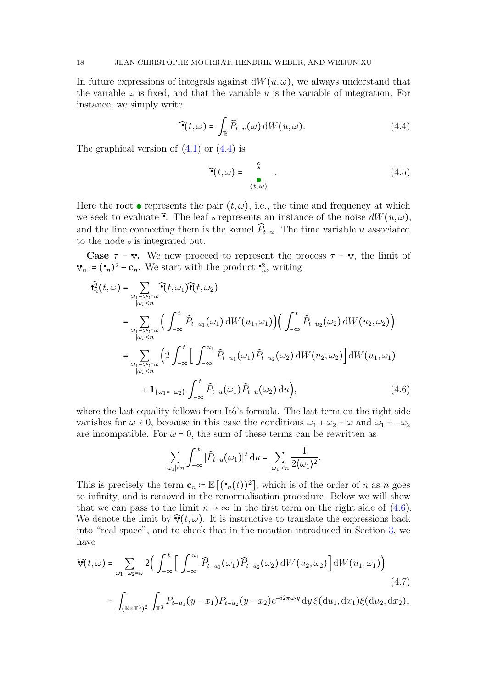In future expressions of integrals against  $dW(u, \omega)$ , we always understand that the variable  $\omega$  is fixed, and that the variable u is the variable of integration. For instance, we simply write

<span id="page-17-0"></span>
$$
\widehat{\mathbf{T}}(t,\omega) = \int_{\mathbb{R}} \widehat{P}_{t-u}(\omega) \, \mathrm{d}W(u,\omega). \tag{4.4}
$$

The graphical version of  $(4.1)$  or  $(4.4)$  is

<span id="page-17-3"></span>
$$
\widehat{\mathbf{T}}(t,\omega) = \int_{(t,\omega)}^{\infty} . \tag{4.5}
$$

Here the root  $\bullet$  represents the pair  $(t, \omega)$ , i.e., the time and frequency at which we seek to evaluate  $\hat{\mathbf{r}}$ . The leaf  $\circ$  represents an instance of the noise  $dW(u, \omega)$ , and the line connecting them is the kernel  $\widehat{P}_{t-u}$ . The time variable u associated to the node  $\circ$  is integrated out.

**Case**  $\tau = \mathbf{v}$ . We now proceed to represent the process  $\tau = \mathbf{v}$ , the limit of  $n = (\mathbf{t}_n)^2 - \mathbf{c}_n$ . We start with the product  $\mathbf{t}_n^2$ , writing

$$
\widehat{\mathbf{Y}}_{n}^{2}(t,\omega) = \sum_{\substack{\omega_{1}+\omega_{2}=\omega \\ |\omega_{i}| \leq n}} \widehat{\mathbf{T}}(t,\omega_{1})\widehat{\mathbf{T}}(t,\omega_{2})
$$
\n
$$
= \sum_{\substack{\omega_{1}+\omega_{2}=\omega \\ |\omega_{i}| \leq n}} \Big(\int_{-\infty}^{t} \widehat{P}_{t-u_{1}}(\omega_{1}) dW(u_{1},\omega_{1})\Big) \Big(\int_{-\infty}^{t} \widehat{P}_{t-u_{2}}(\omega_{2}) dW(u_{2},\omega_{2})\Big)
$$
\n
$$
= \sum_{\substack{\omega_{1}+\omega_{2}=\omega \\ |\omega_{i}| \leq n}} \Big(2\int_{-\infty}^{t} \Big[\int_{-\infty}^{u_{1}} \widehat{P}_{t-u_{1}}(\omega_{1})\widehat{P}_{t-u_{2}}(\omega_{2}) dW(u_{2},\omega_{2})\Big] dW(u_{1},\omega_{1})
$$
\n
$$
+ \mathbf{1}_{\{\omega_{1}=-\omega_{2}\}} \int_{-\infty}^{t} \widehat{P}_{t-u}(\omega_{1})\widehat{P}_{t-u}(\omega_{2}) du\Big), \tag{4.6}
$$

where the last equality follows from Itô's formula. The last term on the right side vanishes for  $\omega \neq 0$ , because in this case the conditions  $\omega_1 + \omega_2 = \omega$  and  $\omega_1 = -\omega_2$ are incompatible. For  $\omega = 0$ , the sum of these terms can be rewritten as

<span id="page-17-2"></span><span id="page-17-1"></span>
$$
\sum_{|\omega_1|\leq n}\int_{-\infty}^t |\widehat{P}_{t-u}(\omega_1)|^2 \, \mathrm{d}u = \sum_{|\omega_1|\leq n} \frac{1}{2\langle \omega_1 \rangle^2}.
$$

This is precisely the term  $\mathbf{c}_n := \mathbb{E}[(\mathbf{t}_n(t))^2]$ , which is of the order of n as n goes to infinity and is remayed in the renormalization precedure. Pelow we will show to infinity, and is removed in the renormalisation procedure. Below we will show that we can pass to the limit  $n \to \infty$  in the first term on the right side of [\(4.6\)](#page-17-1). We denote the limit by  $\widehat{\mathbf{v}}(t,\omega)$ . It is instructive to translate the expressions back into "real space", and to check that in the notation introduced in Section [3,](#page-10-0) we have

$$
\widehat{\mathbf{v}}(t,\omega) = \sum_{\omega_1+\omega_2=\omega} 2\Big(\int_{-\infty}^t \Big[\int_{-\infty}^{u_1} \widehat{P}_{t-u_1}(\omega_1) \widehat{P}_{t-u_2}(\omega_2) \, \mathrm{d}W(u_2,\omega_2)\Big] \, \mathrm{d}W(u_1,\omega_1)\Big)
$$
\n
$$
\int_{-\infty}^{\infty} \Big(\int_{-\infty}^{\infty} P_{t-u_1}(\omega_1) \, P_{t-u_2}(\omega_2) \, \mathrm{d}W(u_2,\omega_2)\Big) \, \mathrm{d}W(u_1,\omega_1)\Big) \tag{4.7}
$$

$$
= \int_{(\mathbb{R} \times \mathbb{T}^3)^2} \int_{\mathbb{T}^3} P_{t-u_1}(y-x_1) P_{t-u_2}(y-x_2) e^{-i2\pi \omega \cdot y} dy \, \xi(du_1, dx_1) \xi(du_2, dx_2),
$$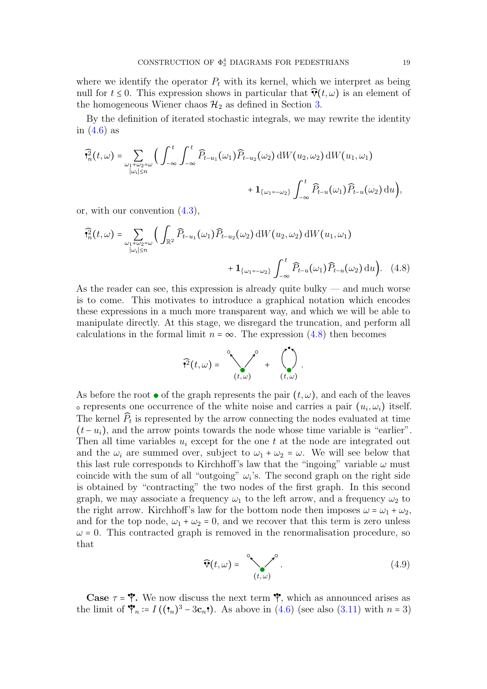where we identify the operator  $P_t$  with its kernel, which we interpret as being null for  $t \leq 0$ . This expression shows in particular that  $\hat{\mathbf{v}}(t,\omega)$  is an element of the homogeneous Wiener chaos  $\mathcal{H}_2$  as defined in Section [3.](#page-10-0)

By the definition of iterated stochastic integrals, we may rewrite the identity in  $(4.6)$  as

$$
\widehat{\mathbf{Y}}_n^2(t,\omega) = \sum_{\substack{\omega_1+\omega_2=\omega\\|\omega_i|\leq n}} \Big(\int_{-\infty}^t \int_{-\infty}^t \widehat{P}_{t-u_1}(\omega_1) \widehat{P}_{t-u_2}(\omega_2) \, \mathrm{d}W(u_2,\omega_2) \, \mathrm{d}W(u_1,\omega_1) + \mathbf{1}_{\{\omega_1=-\omega_2\}} \int_{-\infty}^t \widehat{P}_{t-u}(\omega_1) \widehat{P}_{t-u}(\omega_2) \, \mathrm{d}u \Big),
$$

or, with our convention [\(4.3\)](#page-16-1),

$$
\widehat{\mathbf{Y}}_n^2(t,\omega) = \sum_{\substack{\omega_1 + \omega_2 = \omega \\ |\omega_i| \le n}} \Big( \int_{\mathbb{R}^2} \widehat{P}_{t-u_1}(\omega_1) \widehat{P}_{t-u_2}(\omega_2) \, \mathrm{d}W(u_2,\omega_2) \, \mathrm{d}W(u_1,\omega_1) + \mathbf{1}_{\{\omega_1 = -\omega_2\}} \int_{-\infty}^t \widehat{P}_{t-u}(\omega_1) \widehat{P}_{t-u}(\omega_2) \, \mathrm{d}u \Big). \tag{4.8}
$$

As the reader can see, this expression is already quite bulky — and much worse is to come. This motivates to introduce a graphical notation which encodes these expressions in a much more transparent way, and which we will be able to manipulate directly. At this stage, we disregard the truncation, and perform all calculations in the formal limit  $n = \infty$ . The expression [\(4.8\)](#page-18-0) then becomes

<span id="page-18-0"></span>

As before the root  $\bullet$  of the graph represents the pair  $(t, \omega)$ , and each of the leaves represents one occurrence of the white noise and carries a pair  $(u_i, \omega_i)$  itself. The kernel  $P_t$  is represented by the arrow connecting the nodes evaluated at time  $(t - u_i)$ , and the arrow points towards the node whose time variable is "earlier". Then all time variables  $u_i$  except for the one t at the node are integrated out and the  $\omega_i$  are summed over, subject to  $\omega_1 + \omega_2 = \omega$ . We will see below that this last rule corresponds to Kirchhoff's law that the "ingoing" variable  $\omega$  must coincide with the sum of all "outgoing"  $\omega_i$ 's. The second graph on the right side is obtained by "contracting" the two nodes of the first graph. In this second graph, we may associate a frequency  $\omega_1$  to the left arrow, and a frequency  $\omega_2$  to the right arrow. Kirchhoff's law for the bottom node then imposes  $\omega = \omega_1 + \omega_2$ , and for the top node,  $\omega_1 + \omega_2 = 0$ , and we recover that this term is zero unless  $\omega$  = 0. This contracted graph is removed in the renormalisation procedure, so that

$$
\widehat{\mathbf{v}}(t,\omega) = \int_{(t,\omega)}^{\infty} . \tag{4.9}
$$

**Case**  $\tau = \mathbf{\hat{Y}}$ . We now discuss the next term  $\mathbf{\hat{Y}}$ , which as announced arises as the limit of  $\mathbf{\hat{Y}}_n := I((\mathbf{t}_n)^3 - 3\mathbf{c}_n \mathbf{t})$ . As above in [\(4.6\)](#page-17-1) (see also [\(3.11\)](#page-12-2) with  $n = 3$ )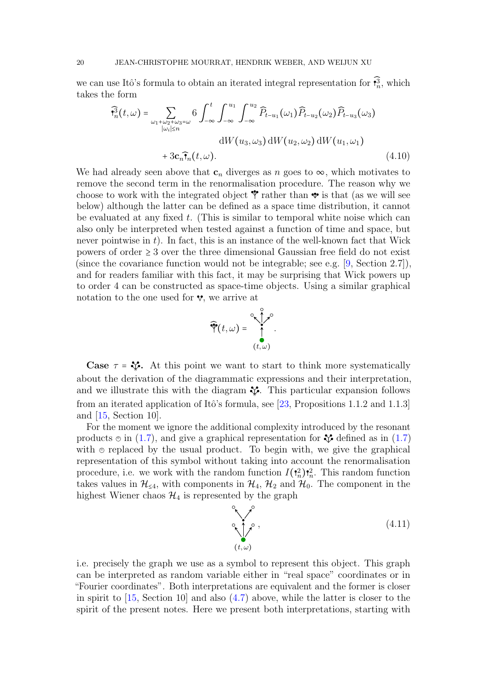we can use Itô's formula to obtain an iterated integral representation for  $\mathbf{a}^3$ , which takes the form

$$
\widehat{\mathbf{t}}_n^3(t,\omega) = \sum_{\substack{\omega_1+\omega_2+\omega_3=\omega\\|\omega_i|\leq n}} 6 \int_{-\infty}^t \int_{-\infty}^{u_1} \int_{-\infty}^{u_2} \widehat{P}_{t-u_1}(\omega_1) \widehat{P}_{t-u_2}(\omega_2) \widehat{P}_{t-u_3}(\omega_3)
$$

$$
dW(u_3,\omega_3) dW(u_2,\omega_2) dW(u_1,\omega_1)
$$

$$
+ 3\mathbf{c}_n \widehat{\mathbf{t}}_n(t,\omega).
$$
(4.10)

We had already seen above that  $c_n$  diverges as n goes to  $\infty$ , which motivates to remove the second term in the renormalisation procedure. The reason why we choose to work with the integrated object  $\mathbf{\hat{y}}$  rather than  $\mathbf{\hat{v}}$  is that (as we will see below) although the latter can be defined as a space time distribution, it cannot be evaluated at any fixed  $t$ . (This is similar to temporal white noise which can also only be interpreted when tested against a function of time and space, but never pointwise in  $t$ ). In fact, this is an instance of the well-known fact that Wick powers of order  $\geq 3$  over the three dimensional Gaussian free field do not exist (since the covariance function would not be integrable; see e.g. [\[9,](#page-37-20) Section 2.7]), and for readers familiar with this fact, it may be surprising that Wick powers up to order 4 can be constructed as space-time objects. Using a similar graphical notation to the one used for  $\mathbf{v}$ , we arrive at

<span id="page-19-1"></span>

Case  $\tau = \mathbf{V}$ . At this point we want to start to think more systematically about the derivation of the diagrammatic expressions and their interpretation, and we illustrate this with the diagram  $\mathcal{F}$ . This particular expansion follows from an iterated application of Itô's formula, see [\[23,](#page-38-4) Propositions 1.1.2 and 1.1.3] and [\[15,](#page-37-9) Section 10].

For the moment we ignore the additional complexity introduced by the resonant products  $\odot$  in [\(1.7\)](#page-3-1), and give a graphical representation for  $\mathcal V$  defined as in (1.7) with  $\circ$  replaced by the usual product. To begin with, we give the graphical representation of this symbol without taking into account the renormalisation procedure, i.e. we work with the random function  $I(\frac{2}{n})\frac{2}{n}$ . This random function<br>takes we know in  $2I$  with accuracy we set in  $2I$  and  $2I$ . The serve we set in the takes values in  $\mathcal{H}_{\leq 4}$ , with components in  $\mathcal{H}_4$ ,  $\mathcal{H}_2$  and  $\mathcal{H}_0$ . The component in the highest Wiener chaos  $\mathcal{H}_4$  is represented by the graph

<span id="page-19-0"></span>
$$
\sum_{(t,\omega)}^{\infty},\tag{4.11}
$$

i.e. precisely the graph we use as a symbol to represent this object. This graph can be interpreted as random variable either in "real space" coordinates or in "Fourier coordinates". Both interpretations are equivalent and the former is closer in spirit to  $[15, Section 10]$  $[15, Section 10]$  and also  $(4.7)$  above, while the latter is closer to the spirit of the present notes. Here we present both interpretations, starting with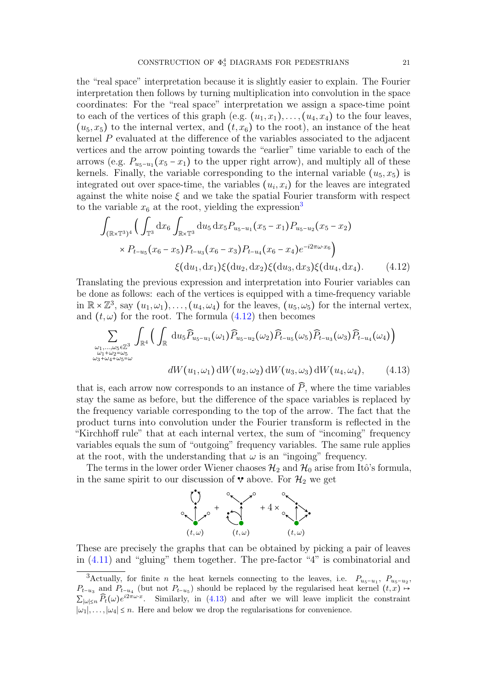the "real space" interpretation because it is slightly easier to explain. The Fourier interpretation then follows by turning multiplication into convolution in the space coordinates: For the "real space" interpretation we assign a space-time point to each of the vertices of this graph (e.g.  $(u_1, x_1), \ldots, (u_4, x_4)$ ) to the four leaves,  $(u_5, x_5)$  to the internal vertex, and  $(t, x_6)$  to the root), an instance of the heat kernel P evaluated at the difference of the variables associated to the adjacent vertices and the arrow pointing towards the "earlier" time variable to each of the arrows (e.g.  $P_{u_5-u_1}(x_5-x_1)$  to the upper right arrow), and multiply all of these kernels. Finally, the variable corresponding to the internal variable  $(u_5, x_5)$  is integrated out over space-time, the variables  $(u_i, x_i)$  for the leaves are integrated against the white noise  $\xi$  and we take the spatial Fourier transform with respect to the variable  $x_6$  at the root, yielding the expression<sup>[3](#page-20-0)</sup>

<span id="page-20-1"></span>
$$
\int_{(\mathbb{R}\times\mathbb{T}^3)^4} \Big( \int_{\mathbb{T}^3} dx_6 \int_{\mathbb{R}\times\mathbb{T}^3} du_5 dx_5 P_{u_5-u_1}(x_5 - x_1) P_{u_5-u_2}(x_5 - x_2) \times P_{t-u_5}(x_6 - x_5) P_{t-u_3}(x_6 - x_3) P_{t-u_4}(x_6 - x_4) e^{-i2\pi\omega \cdot x_6} \Big) \times \Big( du_1, dx_1 \Big) \xi(du_2, dx_2) \xi(du_3, dx_3) \xi(du_4, dx_4).
$$
 (4.12)

Translating the previous expression and interpretation into Fourier variables can be done as follows: each of the vertices is equipped with a time-frequency variable in  $\mathbb{R} \times \mathbb{Z}^3$ , say  $(u_1, \omega_1), \ldots, (u_4, \omega_4)$  for the leaves,  $(u_5, \omega_5)$  for the internal vertex, and  $(t, \omega)$  for the root. The formula  $(4.12)$  then becomes

$$
\sum_{\substack{\omega_1,\ldots,\omega_5 \in \mathbb{Z}^3\\ \omega_1+\omega_2=\omega_5\\ \omega_3+\omega_4+\omega_5=\omega}} \int_{\mathbb{R}^4} \Big( \int_{\mathbb{R}} du_5 \widehat{P}_{u_5-u_1}(\omega_1) \widehat{P}_{u_5-u_2}(\omega_2) \widehat{P}_{t-u_5}(\omega_5) \widehat{P}_{t-u_3}(\omega_3) \widehat{P}_{t-u_4}(\omega_4) \Big) \ndW(u_1,\omega_1) dW(u_2,\omega_2) dW(u_3,\omega_3) dW(u_4,\omega_4), \qquad (4.13)
$$

that is, each arrow now corresponds to an instance of  $\tilde{P}$ , where the time variables stay the same as before, but the difference of the space variables is replaced by the frequency variable corresponding to the top of the arrow. The fact that the product turns into convolution under the Fourier transform is reflected in the "Kirchhoff rule" that at each internal vertex, the sum of "incoming" frequency variables equals the sum of "outgoing" frequency variables. The same rule applies at the root, with the understanding that  $\omega$  is an "ingoing" frequency.

The terms in the lower order Wiener chaoses  $\mathcal{H}_2$  and  $\mathcal{H}_0$  arise from Itô's formula, in the same spirit to our discussion of  $\mathbf{\hat{v}}$  above. For  $\mathcal{H}_2$  we get

<span id="page-20-2"></span>

These are precisely the graphs that can be obtained by picking a pair of leaves in [\(4.11\)](#page-19-0) and "gluing" them together. The pre-factor "4" is combinatorial and

<span id="page-20-0"></span><sup>&</sup>lt;sup>3</sup>Actually, for finite *n* the heat kernels connecting to the leaves, i.e.  $P_{u_5-u_1}$ ,  $P_{u_5-u_2}$ ,  $P_{t-u_3}$  and  $P_{t-u_4}$  (but not  $P_{t-u_5}$ ) should be replaced by the regularised heat kernel  $(t, x) \mapsto$  $\sum_{|\omega| \leq n} \widehat{P}_t(\omega) e^{i2\pi \omega \cdot x}$ . Similarly, in [\(4.13\)](#page-20-2) and after we will leave implicit the constraint  $|\omega_1|, \ldots, |\omega_4| \leq n$ . Here and below we drop the regularisations for convenience.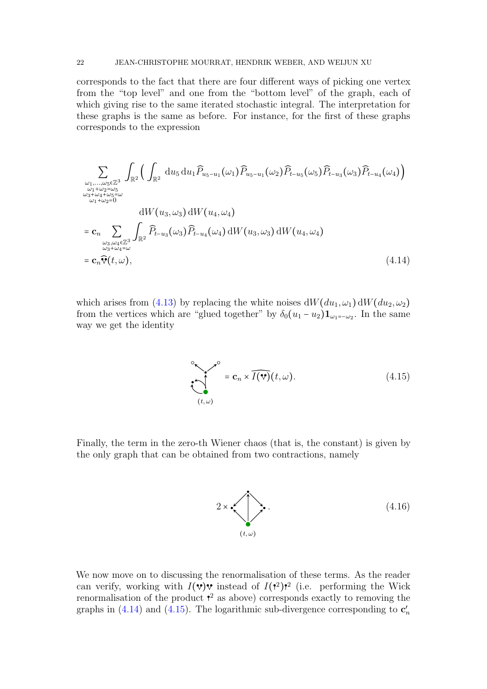corresponds to the fact that there are four different ways of picking one vertex from the "top level" and one from the "bottom level" of the graph, each of which giving rise to the same iterated stochastic integral. The interpretation for these graphs is the same as before. For instance, for the first of these graphs corresponds to the expression

$$
\sum_{\substack{\omega_1,\ldots,\omega_5 \in \mathbb{Z}^3\\ \omega_1+\omega_2=\omega_5\\ \omega_1+\omega_2=\omega\\ \omega_1+\omega_2=0\\ \omega_1+\omega_2=0\\ \omega_3,\omega_4\in \mathbb{Z}^3}} \int_{\mathbb{R}^2} \left( \int_{\mathbb{R}^2} du_5 du_1 \widehat{P}_{u_5-u_1}(\omega_1) \widehat{P}_{u_5-u_1}(\omega_2) \widehat{P}_{t-u_5}(\omega_5) \widehat{P}_{t-u_3}(\omega_3) \widehat{P}_{t-u_4}(\omega_4) \right)
$$
\n
$$
= \mathbf{c}_n \sum_{\substack{\omega_3,\omega_4 \in \mathbb{Z}^3\\ \omega_3+\omega_4=\omega}} \int_{\mathbb{R}^2} \widehat{P}_{t-u_3}(\omega_3) \widehat{P}_{t-u_4}(\omega_4) dW(u_3,\omega_3) dW(u_4,\omega_4)
$$
\n
$$
= \mathbf{c}_n \widehat{\mathbf{v}}(t,\omega), \tag{4.14}
$$

which arises from [\(4.13\)](#page-20-2) by replacing the white noises  $dW(du_1, \omega_1) dW(du_2, \omega_2)$ from the vertices which are "glued together" by  $\delta_0(u_1 - u_2) \mathbf{1}_{\omega_1 = -\omega_2}$ . In the same way we get the identity

<span id="page-21-1"></span><span id="page-21-0"></span>
$$
\sum_{(t,\omega)}^{\infty} = \mathbf{c}_n \times \widehat{I(\mathbf{v})}(t,\omega).
$$
 (4.15)

Finally, the term in the zero-th Wiener chaos (that is, the constant) is given by the only graph that can be obtained from two contractions, namely

<span id="page-21-2"></span>
$$
2 \times \left( \sum_{(t,\omega)} \right) \tag{4.16}
$$

We now move on to discussing the renormalisation of these terms. As the reader can verify, working with  $I(\mathbf{v})\mathbf{v}$  instead of  $I(\mathbf{v}^2)$  (i.e. performing the Wick renormalisation of the product  $\mathbf{r}^2$  as above) corresponds exactly to removing the graphs in [\(4.14\)](#page-21-0) and [\(4.15\)](#page-21-1). The logarithmic sub-divergence corresponding to  $\mathbf{c}'_n$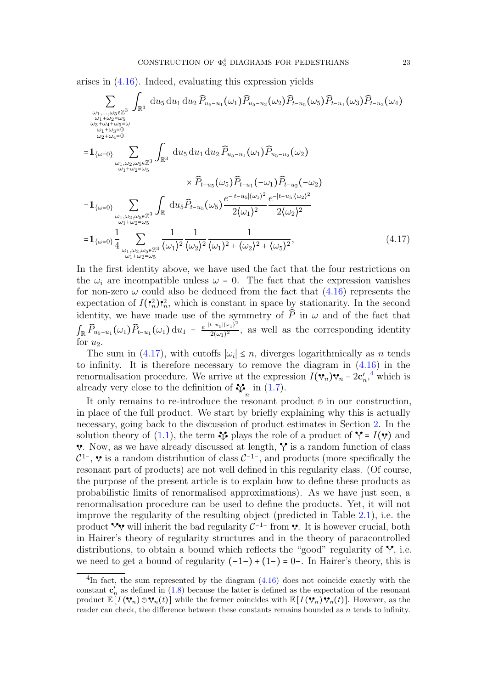arises in [\(4.16\)](#page-21-2). Indeed, evaluating this expression yields

$$
\sum_{\substack{\omega_1,\ldots,\omega_5 \in \mathbb{Z}^3\\ \omega_1 + \omega_2 = \omega_5\\ \omega_3 + \omega_4 + \omega_5 = \omega\\ \omega_1 + \omega_2 = \omega_5\\ \omega_2 + \omega_4 = 0}} \frac{\sum_{\substack{\omega_1+\omega_2+\omega_4=0\\ \omega_1+\omega_2=\omega_5}} \left( \frac{du_5 du_1 du_2 \widehat{P}_{u_5-u_1}(\omega_1) \widehat{P}_{u_5-u_2}(\omega_2) \widehat{P}_{t-u_1}(\omega_3) \widehat{P}_{t-u_2}(\omega_4) \right)}{\omega_1 + \omega_2 = \omega_5} \right)}{\sum_{\substack{\omega_1,\omega_2,\omega_5 \in \mathbb{Z}^3\\ \omega_1 + \omega_2 = \omega_5}} \frac{\sum_{\substack{\omega_1,\omega_2,\omega_5 \in \mathbb{Z}^3\\ \omega_1 + \omega_2 = \omega_5}} \left( \frac{du_5 \widehat{P}_{t-u_5}(\omega_5) \widehat{P}_{t-u_1}(-\omega_1) \widehat{P}_{t-u_2}(-\omega_2)}{2(\omega_1)^2} \right)}{\frac{e^{-|t-u_5|(\omega_1)^2} e^{-|t-u_5|(\omega_2)^2}}{2(\omega_2)^2}}}{\frac{2(\omega_2)^2}{2(\omega_2)^2}}
$$
\n
$$
= 1_{\{\omega=0\}} \frac{1}{4} \sum_{\substack{\omega_1,\omega_2,\omega_5 \in \mathbb{Z}^3\\ \omega_1 + \omega_2 = \omega_5}} \frac{1}{(\omega_1)^2} \frac{1}{(\omega_2)^2} \frac{1}{(\omega_1)^2 + (\omega_2)^2 + (\omega_5)^2}, \qquad (4.17)
$$

<span id="page-22-0"></span>In the first identity above, we have used the fact that the four restrictions on the  $\omega_i$  are incompatible unless  $\omega = 0$ . The fact that the expression vanishes for non-zero  $\omega$  could also be deduced from the fact that  $(4.16)$  represents the expectation of  $I(\mathbf{r}_n^2) \mathbf{r}_n^2$ , which is constant in space by stationarity. In the second  $n J \, | \, n$ identity, we have made use of the symmetry of  $\tilde{P}$  in  $\omega$  and of the fact that  $\int_{\mathbb{R}} \widehat{P}_{u_5-u_1}(\omega_1) \widehat{P}_{t-u_1}(\omega_1) \, \mathrm{d}u_1 = \frac{e^{-|t-u_5|(\omega_1)^2}}{2(\omega_1)^2}$  $\frac{2\left(\frac{2}{\alpha_1}\right)^2}{2\left(\frac{\alpha_1}{2}\right)^2}$ , as well as the corresponding identity for  $u_2$ .

The sum in [\(4.17\)](#page-22-0), with cutoffs  $|\omega_i| \leq n$ , diverges logarithmically as n tends infinity. It is therefore necessary to remove the diagram in (4.16) in the to infinity. It is therefore necessary to remove the diagram in [\(4.16\)](#page-21-2) in the renormalisation procedure. We arrive at the expression  $I(\mathbf{v}_n)\mathbf{v}_n - 2\mathbf{c}'_n$ ,<sup>[4](#page-22-1)</sup> which is already very close to the definition of  $\mathcal{V}_n$  in [\(1.7\)](#page-3-1).

It only remains to re-introduce the resonant product  $\Theta$  in our construction, in place of the full product. We start by briefly explaining why this is actually necessary, going back to the discussion of product estimates in Section [2.](#page-4-3) In the solution theory of [\(1.1\)](#page-0-0), the term  $\mathcal{P}$  plays the role of a product of  $\mathcal{Y} = I(\mathbf{v})$  and  $\vee$ . Now, as we have already discussed at length,  $\vee$  is a random function of class  $\epsilon$ ,  $\epsilon$  is a random distribution of class  $\epsilon$ , and products (more specifically the resonant part of products) are not well defined in this regularity class. (Of course, <sup>1–</sup>,  $\mathbf{\hat{v}}$  is a random distribution of class  $C^{-1}$ <sup>-</sup>, and products (more specifically the the purpose of the present article is to explain how to define these products as probabilistic limits of renormalised approximations). As we have just seen, a renormalisation procedure can be used to define the products. Yet, it will not improve the regularity of the resulting object (predicted in Table [2.1\)](#page-8-0), i.e. the product  $\gamma$  will inherit the bad regularity  $C^{-1-}$  from v. It is however crucial, both in Heinrich shows of neurological property in Heinrich shows of neurological property in  $\mathcal{L}$ in Hairer's theory of regularity structures and in the theory of paracontrolled distributions, to obtain a bound which reflects the "good" regularity of  $\gamma$ , i.e. we need to get a bound of regularity  $(-1-) + (1-) = 0-$ . In Hairer's theory, this is

<span id="page-22-1"></span> ${}^{4}$ In fact, the sum represented by the diagram  $(4.16)$  does not coincide exactly with the constant  $c'_n$  as defined in [\(1.8\)](#page-3-2) because the latter is defined as the expectation of the resonant product  $\mathbb{E}[I(\mathbf{V}_n)\odot \mathbf{V}_n(t)]$  while the former coincides with  $\mathbb{E}[I(\mathbf{V}_n)\mathbf{V}_n(t)]$ . However, as the reader can check, the difference between these constants remains bounded as  $n$  tends to infinity.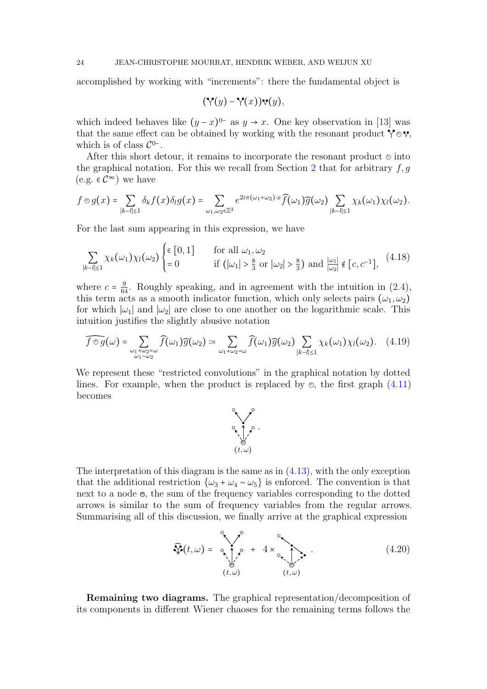accomplished by working with "increments": there the fundamental object is

$$
(\mathbf{Y}(y)-\mathbf{Y}(x))\mathbf{v}(y),
$$

which indeed behaves like  $(y-x)^{0-}$  as  $y \to x$ . One key observation in [\[13\]](#page-37-12) was that the same effect can be obtained by working with the resonant product  $\mathbf{\hat{y}} \in \mathbf{v}$ , which is of class  $\mathcal{C}^{0-}$ .

After this short detour, it remains to incorporate the resonant product  $\odot$  into the graphical notation. For this we recall from Section [2](#page-4-3) that for arbitrary  $f, g$ (e.g. ∈  $\mathcal{C}^{\infty}$ ) we have

$$
f\circledcirc g(x)=\sum_{|k-l|\leq 1}\delta_kf(x)\delta_lg(x)=\sum_{\omega_1,\omega_2\in\mathbb{Z}^3}e^{2i\pi(\omega_1+\omega_2)\cdot x}\widehat{f}(\omega_1)\widehat{g}(\omega_2)\sum_{|k-l|\leq 1}\chi_k(\omega_1)\chi_l(\omega_2).
$$

For the last sum appearing in this expression, we have

$$
\sum_{|k-l|\leq 1} \chi_k(\omega_1) \chi_l(\omega_2) \begin{cases} \epsilon [0,1] & \text{for all } \omega_1, \omega_2 \\ = 0 & \text{if } (|\omega_1| > \frac{8}{3} \text{ or } |\omega_2| > \frac{8}{3}) \text{ and } \frac{|\omega_1|}{|\omega_2|} \notin [c, c^{-1}], \end{cases} (4.18)
$$

where  $c = \frac{9}{64}$ . Roughly speaking, and in agreement with the intuition in [\(2.4\)](#page-5-2), this term acts as a smooth indicator function, which only selects pairs  $(\omega_1, \omega_2)$ <br>for which helped helpes does to are another on the locarithmic scale. This for which  $|\omega_1|$  and  $|\omega_2|$  are close to one another on the logarithmic scale. This intuition justifies the slightly abusive notation

$$
\widehat{f\circ g}(\omega) = \sum_{\substack{\omega_1+\omega_2=\omega\\ \omega_1\sim\omega_2}} \widehat{f}(\omega_1) \widehat{g}(\omega_2) := \sum_{\omega_1+\omega_2=\omega} \widehat{f}(\omega_1) \widehat{g}(\omega_2) \sum_{|k-l|\leq 1} \chi_k(\omega_1) \chi_l(\omega_2). \tag{4.19}
$$

We represent these "restricted convolutions" in the graphical notation by dotted lines. For example, when the product is replaced by  $\otimes$ , the first graph  $(4.11)$ becomes

<span id="page-23-2"></span><span id="page-23-1"></span><span id="page-23-0"></span>

The interpretation of this diagram is the same as in [\(4.13\)](#page-20-2), with the only exception that the additional restriction  $\{\omega_3 + \omega_4 \sim \omega_5\}$  is enforced. The convention is that next to a node  $\Theta$ , the sum of the frequency variables corresponding to the dotted arrows is similar to the sum of frequency variables from the regular arrows. Summarising all of this discussion, we finally arrive at the graphical expression

$$
\widehat{\mathcal{P}}(t,\omega) = \underbrace{\mathcal{P}_{\mathbf{r},t,\omega}^{\circ}}_{(t,\omega)} + 4 \times \underbrace{\mathcal{P}_{\mathbf{r},t,\omega}^{\circ}}_{(t,\omega)}.
$$
\n(4.20)

Remaining two diagrams. The graphical representation/decomposition of its components in different Wiener chaoses for the remaining terms follows the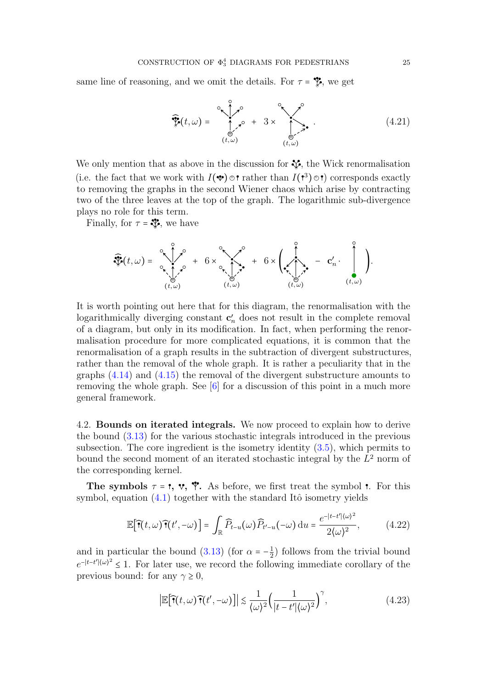same line of reasoning, and we omit the details. For  $\tau = \mathcal{F}$ , we get

<span id="page-24-1"></span>
$$
\widehat{\mathcal{F}}(t,\omega) = \begin{cases} \sum_{\substack{\omega \in \mathcal{P}(\omega) \\ (t,\omega)}}^{\infty} & \omega \in \mathcal{P}(\omega) \\ (t,\omega) & \omega \in \mathcal{P}(\omega) \end{cases} \tag{4.21}
$$

We only mention that as above in the discussion for  $\mathcal{F}$ , the Wick renormalisation (i.e. the fact that we work with  $I(\mathbf{\hat{v}}) \odot \mathbf{r}$  rather than  $I(\mathbf{\hat{v}}) \odot \mathbf{r}$ ) corresponds exactly to removing the graphs in the second Wiener chaos which arise by contracting two of the three leaves at the top of the graph. The logarithmic sub-divergence plays no role for this term.

Finally, for  $\tau = \mathcal{F}$ , we have

$$
\widehat{\mathcal{F}}(t,\omega) = \underbrace{\mathcal{F}(t,\omega)}_{(t,\omega)} + 6 \times \underbrace{\mathcal{F}(t,\omega)}_{(t,\omega)} + 6 \times \underbrace{\left(\mathcal{F}(t,\omega)}_{(t,\omega)}\right) - \mathbf{C}'_n \cdot \begin{pmatrix} 0 \\ 0 \\ 0 \\ (t,\omega) \end{pmatrix}.
$$

It is worth pointing out here that for this diagram, the renormalisation with the logarithmically diverging constant  $\mathbf{c}'_n$  does not result in the complete removal of a diagram, but only in its modification. In fact, when performing the renormalisation procedure for more complicated equations, it is common that the renormalisation of a graph results in the subtraction of divergent substructures, rather than the removal of the whole graph. It is rather a peculiarity that in the graphs [\(4.14\)](#page-21-0) and [\(4.15\)](#page-21-1) the removal of the divergent substructure amounts to removing the whole graph. See [\[6\]](#page-37-16) for a discussion of this point in a much more general framework.

4.2. Bounds on iterated integrals. We now proceed to explain how to derive the bound [\(3.13\)](#page-14-0) for the various stochastic integrals introduced in the previous subsection. The core ingredient is the isometry identity [\(3.5\)](#page-11-3), which permits to bound the second moment of an iterated stochastic integral by the  $L^2$  norm of the corresponding kernel.

The symbols  $\tau = \tau$ ,  $\mathbf{v}$ ,  $\mathbf{\hat{v}}$ . As before, we first treat the symbol  $\tau$ . For this symbol, equation  $(4.1)$  together with the standard Itô isometry yields

$$
\mathbb{E}\big[\widehat{\mathbf{T}}(t,\omega)\widehat{\mathbf{T}}(t',-\omega)\big] = \int_{\mathbb{R}} \widehat{P}_{t-u}(\omega)\widehat{P}_{t'-u}(-\omega)\,\mathrm{d}u = \frac{e^{-|t-t'|(\omega)^2}}{2\langle\omega\rangle^2},\tag{4.22}
$$

and in particular the bound [\(3.13\)](#page-14-0) (for  $\alpha = -\frac{1}{2}$  $\frac{1}{2}$ ) follows from the trivial bound  $e^{-|t-t'|\omega|^2} \leq 1$ . For later use, we record the following immediate corollary of the previous bound: for any  $\gamma \geq 0$ ,

<span id="page-24-2"></span><span id="page-24-0"></span>
$$
\left|\mathbb{E}\big[\widehat{\mathbf{T}}(t,\omega)\widehat{\mathbf{T}}(t',-\omega)\big]\right| \lesssim \frac{1}{\langle\omega\rangle^2} \Big(\frac{1}{|t-t'|\langle\omega\rangle^2}\Big)^\gamma,\tag{4.23}
$$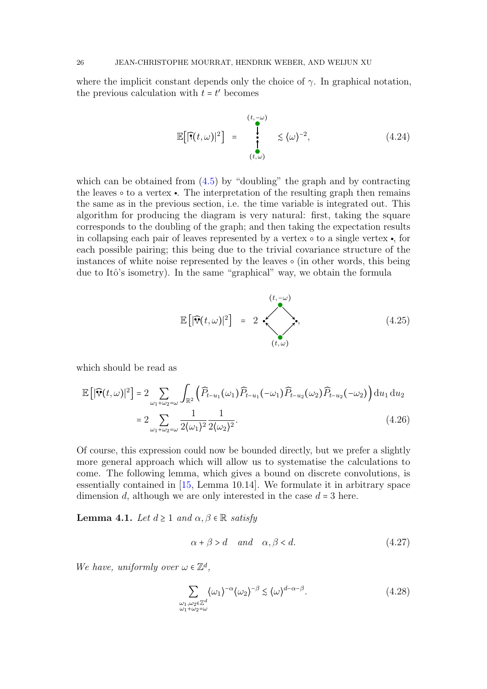where the implicit constant depends only the choice of  $\gamma$ . In graphical notation, the previous calculation with  $t = t'$  becomes

<span id="page-25-5"></span>
$$
\mathbb{E}\big[\widehat{\mathbf{F}}(t,\omega)\big|^2\big] = \bigg|_{(t,\omega)}^{(t,-\omega)} \lesssim \langle \omega \rangle^{-2}, \tag{4.24}
$$

which can be obtained from  $(4.5)$  by "doubling" the graph and by contracting the leaves  $\circ$  to a vertex  $\bullet$ . The interpretation of the resulting graph then remains the same as in the previous section, i.e. the time variable is integrated out. This algorithm for producing the diagram is very natural: first, taking the square corresponds to the doubling of the graph; and then taking the expectation results in collapsing each pair of leaves represented by a vertex  $\circ$  to a single vertex  $\bullet$ , for each possible pairing; this being due to the trivial covariance structure of the instances of white noise represented by the leaves  $\circ$  (in other words, this being due to Itô's isometry). In the same "graphical" way, we obtain the formula

<span id="page-25-4"></span>
$$
\mathbb{E}\left[|\widehat{\mathbf{v}}(t,\omega)|^2\right] = 2 \cdot \sum_{(t,\omega)}^{(t,-\omega)}.
$$
\n(4.25)

which should be read as

$$
\mathbb{E}\left[\left|\widehat{\mathbf{v}}(t,\omega)\right|^2\right] = 2 \sum_{\omega_1+\omega_2=\omega} \int_{\mathbb{R}^2} \left(\widehat{P}_{t-u_1}(\omega_1)\widehat{P}_{t-u_1}(-\omega_1)\widehat{P}_{t-u_2}(\omega_2)\widehat{P}_{t-u_2}(-\omega_2)\right) \mathrm{d}u_1 \, \mathrm{d}u_2
$$

$$
= 2 \sum_{\omega_1+\omega_2=\omega} \frac{1}{2\langle\omega_1\rangle^2} \frac{1}{2\langle\omega_2\rangle^2}.
$$
(4.26)

Of course, this expression could now be bounded directly, but we prefer a slightly more general approach which will allow us to systematise the calculations to come. The following lemma, which gives a bound on discrete convolutions, is essentially contained in [\[15,](#page-37-9) Lemma 10.14]. We formulate it in arbitrary space dimension d, although we are only interested in the case  $d = 3$  here.

<span id="page-25-2"></span>**Lemma 4.1.** Let  $d \geq 1$  and  $\alpha, \beta \in \mathbb{R}$  satisfy

<span id="page-25-3"></span><span id="page-25-1"></span><span id="page-25-0"></span>
$$
\alpha + \beta > d \quad and \quad \alpha, \beta < d. \tag{4.27}
$$

We have, uniformly over  $\omega \in \mathbb{Z}^d$ ,

$$
\sum_{\substack{\omega_1, \omega_2 \in \mathbb{Z}^d\\ \omega_1 + \omega_2 = \omega}} \langle \omega_1 \rangle^{-\alpha} \langle \omega_2 \rangle^{-\beta} \lesssim \langle \omega \rangle^{d - \alpha - \beta}.
$$
\n(4.28)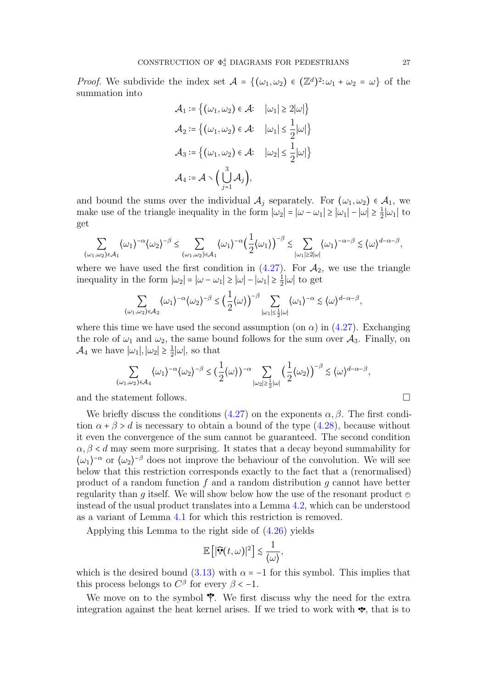*Proof.* We subdivide the index set  $A = \{(\omega_1, \omega_2) \in (\mathbb{Z}^d)^2 : \omega_1 + \omega_2 = \omega\}$  of the summation into summation into

$$
\mathcal{A}_1 := \left\{ (\omega_1, \omega_2) \in \mathcal{A}: \quad |\omega_1| \ge 2|\omega| \right\}
$$
  

$$
\mathcal{A}_2 := \left\{ (\omega_1, \omega_2) \in \mathcal{A}: \quad |\omega_1| \le \frac{1}{2}|\omega| \right\}
$$
  

$$
\mathcal{A}_3 := \left\{ (\omega_1, \omega_2) \in \mathcal{A}: \quad |\omega_2| \le \frac{1}{2}|\omega| \right\}
$$
  

$$
\mathcal{A}_4 := \mathcal{A} \setminus \left( \bigcup_{j=1}^3 \mathcal{A}_j \right),
$$

and bound the sums over the individual  $\mathcal{A}_j$  separately. For  $(\omega_1, \omega_2) \in \mathcal{A}_1$ , we make use of the triangle inequality in the form  $|\omega_2| = |\omega - \omega_1| \ge |\omega_1| - |\omega| \ge \frac{1}{2}$  $\frac{1}{2}|\omega_1|$  to get

$$
\sum_{(\omega_1,\omega_2)\in\mathcal{A}_1} \langle \omega_1\rangle^{-\alpha} \langle \omega_2\rangle^{-\beta} \leq \sum_{(\omega_1,\omega_2)\in\mathcal{A}_1} \langle \omega_1\rangle^{-\alpha} \Big(\frac{1}{2}\langle \omega_1\rangle\Big)^{-\beta} \lesssim \sum_{|\omega_1|\geq 2|\omega|} \langle \omega_1\rangle^{-\alpha-\beta} \lesssim \langle \omega \rangle^{d-\alpha-\beta},
$$

where we have used the first condition in  $(4.27)$ . For  $\mathcal{A}_2$ , we use the triangle inequality in the form  $|\omega_2| = |\omega - \omega_1| \ge |\omega| - |\omega_1| \ge \frac{1}{2}$  $\frac{1}{2}|\omega|$  to get

$$
\sum_{(\omega_1,\omega_2)\in\mathcal{A}_2} \langle \omega_1\rangle^{-\alpha} \langle \omega_2\rangle^{-\beta} \le \Big(\frac{1}{2}\langle \omega\rangle\Big)^{-\beta} \sum_{|\omega_1|\le\frac{1}{2}|\omega|} \langle \omega_1\rangle^{-\alpha} \lesssim \langle \omega\rangle^{d-\alpha-\beta},
$$

where this time we have used the second assumption (on  $\alpha$ ) in [\(4.27\)](#page-25-0). Exchanging the role of  $\omega_1$  and  $\omega_2$ , the same bound follows for the sum over  $\mathcal{A}_3$ . Finally, on  $\mathcal{A}_4$  we have  $|\omega_1|, |\omega_2| \geq \frac{1}{2}$  $\frac{1}{2}|\omega|$ , so that

$$
\sum_{(\omega_1,\omega_2)\in\mathcal{A}_4} \langle \omega_1\rangle^{-\alpha} \langle \omega_2\rangle^{-\beta} \le \left(\frac{1}{2}\langle \omega\rangle\right)^{-\alpha} \sum_{|\omega_2|\ge \frac{1}{2}|\omega|} \left(\frac{1}{2}\langle \omega_2\rangle\right)^{-\beta} \lesssim \langle \omega \rangle^{d-\alpha-\beta},
$$

and the statement follows.  $\Box$ 

We briefly discuss the conditions [\(4.27\)](#page-25-0) on the exponents  $\alpha, \beta$ . The first condition  $\alpha + \beta > d$  is necessary to obtain a bound of the type [\(4.28\)](#page-25-1), because without it even the convergence of the sum cannot be guaranteed. The second condition  $\alpha, \beta, \delta, d$  may seem more surprising. It states that a decay beyond summability for  $\langle \omega_1 \rangle^{-\alpha}$  or  $\langle \omega_2 \rangle^{-\beta}$  does not improve the behaviour of the convolution. We will see below that this restriction corresponds exactly to the fact that a (renormalised) product of a random function f and a random distribution q cannot have better regularity than g itself. We will show below how the use of the resonant product  $\odot$ instead of the usual product translates into a Lemma [4.2,](#page-28-0) which can be understood as a variant of Lemma [4.1](#page-25-2) for which this restriction is removed.

Applying this Lemma to the right side of [\(4.26\)](#page-25-3) yields

$$
\mathbb{E}\left[|\widehat{\mathbf{v}}(t,\omega)|^2\right] \lesssim \frac{1}{\langle \omega \rangle},
$$

which is the desired bound [\(3.13\)](#page-14-0) with  $\alpha = -1$  for this symbol. This implies that this process belongs to  $C^{\beta}$  for every  $\beta < -1$ .

We move on to the symbol  $\mathcal V$ . We first discuss why the need for the extra integration against the heat kernel arises. If we tried to work with  $\mathbf{\diamond}$ , that is to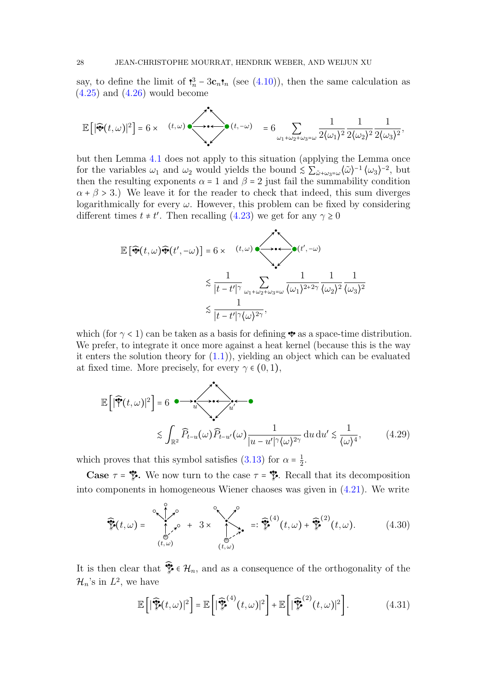say, to define the limit of  $\mathbf{I}_n^3 - 3\mathbf{c}_n \mathbf{t}_n$  (see [\(4.10\)](#page-19-1)), then the same calculation as  $(4.25)$  and  $(4.26)$  would become

$$
\mathbb{E}\left[\left|\widehat{\mathbf{v}}(t,\omega)\right|^2\right] = 6 \times \quad (t,\omega) \longrightarrow \left(\begin{matrix} t & \omega \\ \omega_1+\omega_2+\omega_3=\omega \end{matrix}\right) = 6 \sum_{\omega_1+\omega_2+\omega_3=\omega} \frac{1}{2\langle\omega_1\rangle^2} \frac{1}{2\langle\omega_2\rangle^2} \frac{1}{2\langle\omega_3\rangle^2},
$$

but then Lemma [4.1](#page-25-2) does not apply to this situation (applying the Lemma once for the variables  $\omega_1$  and  $\omega_2$  would yields the bound  $\leq \sum_{\tilde{\omega}+\omega_3=\omega} \langle \tilde{\omega} \rangle^{-1} \langle \omega_3 \rangle^{-2}$ , but then the resulting expense  $\omega_2$  and  $\beta = 2$  just feil the gummability equation then the resulting exponents  $\alpha = 1$  and  $\beta = 2$  just fail the summability condition  $\alpha + \beta > 3$ .) We leave it for the reader to check that indeed, this sum diverges logarithmically for every  $\omega$ . However, this problem can be fixed by considering different times  $t \neq t'$ . Then recalling [\(4.23\)](#page-24-0) we get for any  $\gamma \ge 0$ 

$$
\mathbb{E}\left[\widehat{\mathbf{v}}(t,\omega)\widehat{\mathbf{v}}(t',-\omega)\right] = 6 \times (t,\omega)\widehat{\mathbf{v}}(t',-\omega)
$$
  

$$
\lesssim \frac{1}{|t-t'|^{\gamma}} \sum_{\omega_1+\omega_2+\omega_3=\omega} \frac{1}{\langle \omega_1 \rangle^{2+2\gamma}} \frac{1}{\langle \omega_2 \rangle^2} \frac{1}{\langle \omega_3 \rangle^2}
$$
  

$$
\lesssim \frac{1}{|t-t'|^{\gamma} \langle \omega \rangle^{2\gamma}},
$$

which (for  $\gamma$  < 1) can be taken as a basis for defining  $\bullet$  as a space-time distribution. We prefer, to integrate it once more against a heat kernel (because this is the way it enters the solution theory for [\(1.1\)](#page-0-0)), yielding an object which can be evaluated at fixed time. More precisely, for every  $\gamma \in (0,1)$ ,

<span id="page-27-0"></span>
$$
\mathbb{E}\left[|\widehat{\mathbf{\varphi}}(t,\omega)|^2\right] = 6 \quad \Longleftrightarrow \quad \widehat{u} \quad \widehat{u}
$$
\n
$$
\lesssim \int_{\mathbb{R}^2} \widehat{P}_{t-u}(\omega) \widehat{P}_{t-u'}(\omega) \frac{1}{|u-u'|^{\gamma} \langle \omega \rangle^{2\gamma}} \, \mathrm{d}u \, \mathrm{d}u' \lesssim \frac{1}{\langle \omega \rangle^4},\tag{4.29}
$$

which proves that this symbol satisfies [\(3.13\)](#page-14-0) for  $\alpha = \frac{1}{2}$  $\frac{1}{2}$ .

Case  $\tau = \frac{1}{2}$ . We now turn to the case  $\tau = \frac{1}{2}$ . Recall that its decomposition into components in homogeneous Wiener chaoses was given in [\(4.21\)](#page-24-1). We write

<span id="page-27-1"></span>
$$
\widehat{\mathcal{F}}(t,\omega) = \sum_{\substack{(\theta,\omega)\\(t,\omega)}}^{\infty} \widehat{\mathcal{F}}(t,\omega) + \widehat{\mathcal{F}}(t,\omega) + \widehat{\mathcal{F}}(t,\omega). \tag{4.30}
$$

It is then clear that  $\mathcal{F} \in \mathcal{H}_n$ , and as a consequence of the orthogonality of the  $\mathcal{H}_n$ 's in  $L^2$ , we have

$$
\mathbb{E}\left[\left|\widehat{\mathcal{V}}(t,\omega)\right|^2\right] = \mathbb{E}\left[\left|\widehat{\mathcal{V}}^{(4)}(t,\omega)\right|^2\right] + \mathbb{E}\left[\left|\widehat{\mathcal{V}}^{(2)}(t,\omega)\right|^2\right].\tag{4.31}
$$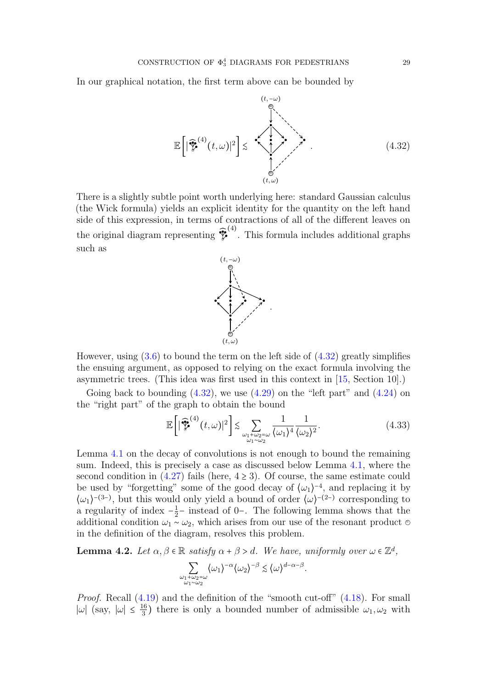In our graphical notation, the first term above can be bounded by

<span id="page-28-1"></span>
$$
\mathbb{E}\left[\left|\widehat{\mathbf{V}}^{(4)}(t,\omega)\right|^2\right] \lesssim \sum_{\substack{\beta\\ (\beta,\omega)\\(t,\omega)}}^{\binom{(t,-\omega)}{2}}.
$$
\n(4.32)

There is a slightly subtle point worth underlying here: standard Gaussian calculus (the Wick formula) yields an explicit identity for the quantity on the left hand side of this expression, in terms of contractions of all of the different leaves on the original diagram representing  $\mathcal{V}$ (4) . This formula includes additional graphs such as



However, using  $(3.6)$  to bound the term on the left side of  $(4.32)$  greatly simplifies the ensuing argument, as opposed to relying on the exact formula involving the asymmetric trees. (This idea was first used in this context in [\[15,](#page-37-9) Section 10].)

Going back to bounding  $(4.32)$ , we use  $(4.29)$  on the "left part" and  $(4.24)$  on the "right part" of the graph to obtain the bound

<span id="page-28-2"></span>
$$
\mathbb{E}\left[\left|\widehat{\mathcal{V}}^{(4)}(t,\omega)\right|^2\right] \lesssim \sum_{\substack{\omega_1+\omega_2=\omega\\ \omega_1\sim\omega_2}}\frac{1}{\langle\omega_1\rangle^4} \frac{1}{\langle\omega_2\rangle^2}.\tag{4.33}
$$

Lemma [4.1](#page-25-2) on the decay of convolutions is not enough to bound the remaining sum. Indeed, this is precisely a case as discussed below Lemma [4.1,](#page-25-2) where the second condition in  $(4.27)$  fails (here,  $4 \ge 3$ ). Of course, the same estimate could be used by "forgetting" some of the good decay of  $(\omega_1)^{-4}$ , and replacing it by  $\langle \omega_1 \rangle^{-(3-)}$ , but this would only yield a bound of order  $\langle \omega \rangle^{-(2-)}$  corresponding to a regularity of index  $-\frac{1}{2}$  $\frac{1}{2}$  – instead of 0−. The following lemma shows that the additional condition  $\omega_1 \sim \omega_2$ , which arises from our use of the resonant product ⊜ in the definition of the diagram, resolves this problem.

<span id="page-28-0"></span>**Lemma 4.2.** Let  $\alpha, \beta \in \mathbb{R}$  satisfy  $\alpha + \beta > d$ . We have, uniformly over  $\omega \in \mathbb{Z}^d$ ,

$$
\sum_{\substack{\omega_1+\omega_2=\omega\\ \omega_1\sim\omega_2}}\langle\omega_1\rangle^{-\alpha}\langle\omega_2\rangle^{-\beta}\lesssim \langle\omega\rangle^{d-\alpha-\beta}.
$$

Proof. Recall [\(4.19\)](#page-23-0) and the definition of the "smooth cut-off" [\(4.18\)](#page-23-1). For small  $|\omega|$  (say,  $|\omega| \leq \frac{16}{3}$  $\frac{16}{3}$ ) there is only a bounded number of admissible  $\omega_1, \omega_2$  with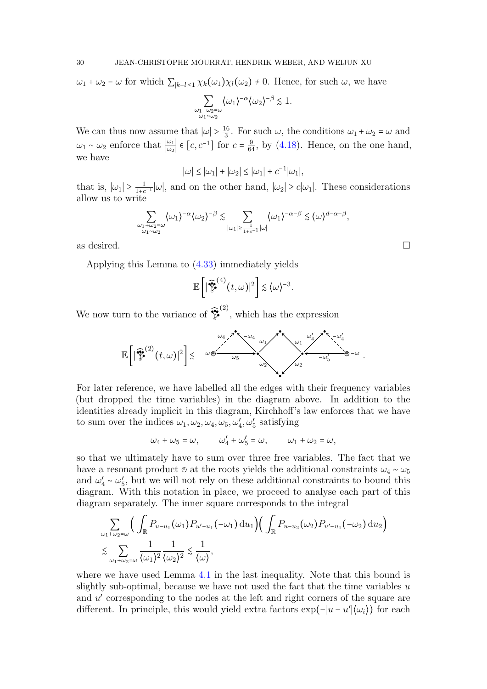$\omega_1 + \omega_2 = \omega$  for which  $\sum_{|k-l| \leq 1} \chi_k(\omega_1) \chi_l(\omega_2) \neq 0$ . Hence, for such  $\omega$ , we have

$$
\sum_{\substack{\omega_1+\omega_2=\omega\\ \omega_1\sim \omega_2}} \langle \omega_1\rangle^{-\alpha} \langle \omega_2\rangle^{-\beta} \lesssim 1.
$$

We can thus now assume that  $|\omega| > \frac{16}{3}$  $\frac{16}{3}$ . For such  $\omega$ , the conditions  $\omega_1 + \omega_2 = \omega$  and  $ω_1 ~ ∼ ω_2$  enforce that  $\frac{ω_1}{|ω_2|} ∈ [c, c^{-1}]$  for  $c = \frac{9}{64}$ , by [\(4.18\)](#page-23-1). Hence, on the one hand, we have

$$
|\omega| \le |\omega_1| + |\omega_2| \le |\omega_1| + c^{-1} |\omega_1|,
$$

that is,  $|\omega_1| \geq \frac{1}{1+c}$  $\frac{1}{1+e^{-1}}|\omega|$ , and on the other hand,  $|\omega_2| \geq c|\omega_1|$ . These considerations allow us to write

$$
\sum_{\substack{\omega_1+\omega_2=\omega\\ \omega_1\sim\omega_2}}\langle\omega_1\rangle^{-\alpha}\langle\omega_2\rangle^{-\beta}\lesssim \sum_{|\omega_1|\geq \frac{1}{1+c^{-1}}|\omega|}\langle\omega_1\rangle^{-\alpha-\beta}\lesssim \langle\omega\rangle^{d-\alpha-\beta},
$$

as desired.  $\Box$ 

Applying this Lemma to [\(4.33\)](#page-28-2) immediately yields

$$
\mathbb{E}\bigg[\big|\widehat{\mathcal{V}}^{(4)}(t,\omega)\big|^2\bigg] \lesssim \langle \omega \rangle^{-3}.
$$

We now turn to the variance of  $\mathcal{V}$ (2) , which has the expression

<sup>E</sup>[∣ ̂ = (2) (t, ω)∣<sup>2</sup> ] ≲ ω = = −ω ω<sup>4</sup> −ω ′ 4 −ω<sup>4</sup> ω ′ <sup>4</sup> ω<sup>1</sup> −ω<sup>1</sup> ω<sup>2</sup> −ω<sup>2</sup> ω<sup>5</sup> −ω ′ 5 .

For later reference, we have labelled all the edges with their frequency variables (but dropped the time variables) in the diagram above. In addition to the identities already implicit in this diagram, Kirchhoff's law enforces that we have to sum over the indices  $\omega_1, \omega_2, \omega_4, \omega_5, \omega'_4, \omega'_5$  satisfying

$$
\omega_4 + \omega_5 = \omega, \qquad \omega'_4 + \omega'_5 = \omega, \qquad \omega_1 + \omega_2 = \omega,
$$

so that we ultimately have to sum over three free variables. The fact that we have a resonant product  $\circ$  at the roots yields the additional constraints  $\omega_4 \sim \omega_5$ and  $\omega'_4 \sim \omega'_5$ , but we will not rely on these additional constraints to bound this diagram. With this potation in place, we preceed to engly each part of this diagram. With this notation in place, we proceed to analyse each part of this diagram separately. The inner square corresponds to the integral

$$
\sum_{\omega_1+\omega_2=\omega} \Big( \int_{\mathbb{R}} P_{u-u_1}(\omega_1) P_{u'-u_1}(-\omega_1) du_1 \Big) \Big( \int_{\mathbb{R}} P_{u-u_2}(\omega_2) P_{u'-u_1}(-\omega_2) du_2 \Big) \n\lesssim \sum_{\omega_1+\omega_2=\omega} \frac{1}{\langle \omega_1 \rangle^2} \frac{1}{\langle \omega_2 \rangle^2} \lesssim \frac{1}{\langle \omega \rangle},
$$

where we have used Lemma [4.1](#page-25-2) in the last inequality. Note that this bound is slightly sub-optimal, because we have not used the fact that the time variables  $u$ and u' corresponding to the nodes at the left and right corners of the square are different. In principle, this would yield extra factors  $\exp(-|u - u'| \langle \omega_i \rangle)$  for each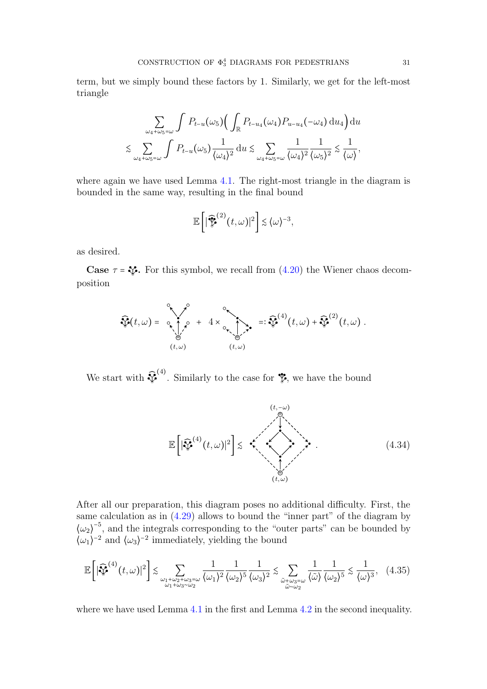term, but we simply bound these factors by 1. Similarly, we get for the left-most triangle

$$
\sum_{\omega_4+\omega_5=\omega} \int P_{t-u}(\omega_5) \Big( \int_{\mathbb{R}} P_{t-u_4}(\omega_4) P_{u-u_4}(-\omega_4) du_4 \Big) du
$$
  

$$
\lesssim \sum_{\omega_4+\omega_5=\omega} \int P_{t-u}(\omega_5) \frac{1}{\langle \omega_4 \rangle^2} du \lesssim \sum_{\omega_4+\omega_5=\omega} \frac{1}{\langle \omega_4 \rangle^2} \frac{1}{\langle \omega_5 \rangle^2} \lesssim \frac{1}{\langle \omega \rangle},
$$

where again we have used Lemma [4.1.](#page-25-2) The right-most triangle in the diagram is bounded in the same way, resulting in the final bound

$$
\mathbb{E}\bigg[\big|\widehat{\mathcal{V}}^{(2)}(t,\omega)\big|^2\bigg] \lesssim \langle \omega \rangle^{-3},
$$

as desired.

**Case**  $\tau = \mathbf{v}$ . For this symbol, we recall from [\(4.20\)](#page-23-2) the Wiener chaos decomposition

$$
\widehat{\mathcal{P}}(t,\omega) = \underbrace{\circ}_{(t,\omega)} \underbrace{\circ}_{(t,\omega)} + 4 \times \underbrace{\circ}_{(t,\omega)} \underbrace{\circ}_{(t,\omega)} = \widehat{\mathcal{P}}^{(4)}(t,\omega) + \widehat{\mathcal{P}}^{(2)}(t,\omega).
$$

We start with  $\sqrt{\ }$ <sup>(4)</sup>. Similarly to the case for  $\ddot{\mathbf{\mathcal{F}}}$ , we have the bound

<span id="page-30-1"></span><span id="page-30-0"></span>

After all our preparation, this diagram poses no additional difficulty. First, the same calculation as in  $(4.29)$  allows to bound the "inner part" of the diagram by  $\langle \omega_2 \rangle^{-5}$ , and the integrals corresponding to the "outer parts" can be bounded by  $\langle \omega_1 \rangle^{-2}$  and  $\langle \omega_3 \rangle^{-2}$  immediately, yielding the bound

$$
\mathbb{E}\left[\left|\widehat{\mathbb{V}}^{(4)}(t,\omega)\right|^2\right] \lesssim \sum_{\substack{\omega_1+\omega_2+\omega_3=\omega\\ \omega_1+\omega_3\sim\omega_2}}\frac{1}{\langle\omega_1\rangle^2}\frac{1}{\langle\omega_2\rangle^5}\frac{1}{\langle\omega_3\rangle^2} \lesssim \sum_{\substack{\tilde{\omega}+\omega_3=\omega\\ \tilde{\omega}\sim\omega_2}}\frac{1}{\langle\tilde{\omega}\rangle}\frac{1}{\langle\omega_2\rangle^5} \lesssim \frac{1}{\langle\omega\rangle^3},\quad(4.35)
$$

where we have used Lemma [4.1](#page-25-2) in the first and Lemma [4.2](#page-28-0) in the second inequality.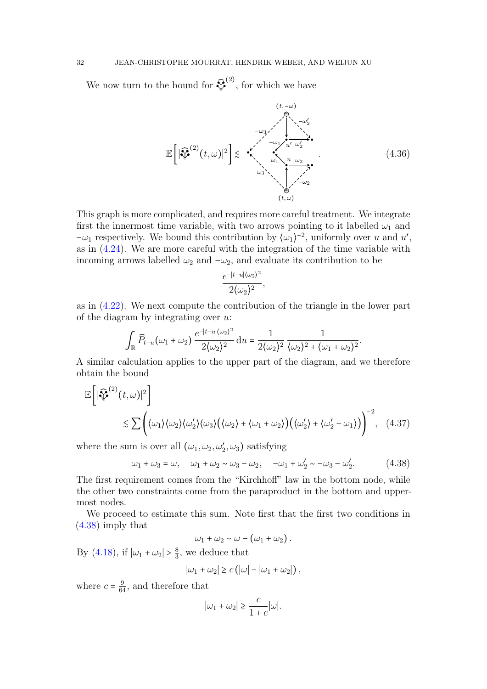We now turn to the bound for  $\sqrt[3]{}$  $(2)$ , for which we have

<span id="page-31-2"></span>
$$
\mathbb{E}\left[\left|\widehat{\mathbf{v}}^{(2)}(t,\omega)\right|^2\right] \lesssim \mathbf{v}^{\mathbf{z}^{\mathbf{z}^{\mathbf{z}^{\mathbf{z}^{\mathbf{z}^{\mathbf{z}^{\mathbf{z}^{\mathbf{z}^{\mathbf{z}^{\mathbf{z}^{\mathbf{z}^{\mathbf{z}^{\mathbf{z}^{\mathbf{z}^{\mathbf{z}^{\mathbf{z}^{\mathbf{z}^{\mathbf{z}^{\mathbf{z}^{\mathbf{z}^{\mathbf{z}^{\mathbf{z}^{\mathbf{z}^{\mathbf{z}^{\mathbf{z}^{\mathbf{z}^{\mathbf{z}^{\mathbf{z}^{\mathbf{z}^{\mathbf{z}^{\mathbf{z}^{\mathbf{z}^{\mathbf{z}^{\mathbf{z}^{\mathbf{z}^{\mathbf{z}^{\mathbf{z}^{\mathbf{z}^{\mathbf{z}^{\mathbf{z}^{\mathbf{z}^{\mathbf{z}^{\mathbf{z}^{\mathbf{z}^{\mathbf{z}^{\mathbf{z}^{\mathbf{z}^{\mathbf{z}^{\mathbf{z}^{\mathbf{z}^{\mathbf{z}^{\mathbf{z}^{\mathbf{z}^{\mathbf{z}^{\mathbf{z}^{\mathbf{z}^{\mathbf{z}^{\mathbf{z}^{\mathbf{z}^{\mathbf{z}^{\mathbf{z}^{\mathbf{z}^{\mathbf{z}^{\mathbf{z}^{\mathbf{z}^{\mathbf{z}^{\mathbf{z}^{\mathbf{z}^{\mathbf{z}^{\mathbf{z}^{\mathbf{z}^{\mathbf{z}^{\mathbf{z}^{\mathbf{z}^{\mathbf{z}^{\mathbf{z}^{\mathbf{z}^{\mathbf{z}^{\mathbf{z}^{\mathbf{z}^{\mathbf{z}^{\mathbf{z}^{\mathbf{z}^{\mathbf{z}}^{\mathbf{z}^{\mathbf{z}^{\mathbf{z}}}}}}}}}}}}}\tag{4.36}
$$
\n
$$
\mathbb{E}\left[\left|\widehat{\mathbf{W}}}\right|^{(2)}(t,\omega)\right|^{2}\right] \lesssim \mathbf{v}^{\mathbf{z}^{\mathbf{z}^{\mathbf{z}^{\mathbf{z}^{\mathbf{z}}}}}}}}}\right
$$

<span id="page-31-1"></span>.

This graph is more complicated, and requires more careful treatment. We integrate first the innermost time variable, with two arrows pointing to it labelled  $\omega_1$  and  $-\omega_1$  respectively. We bound this contribution by  $\langle \omega_1 \rangle^{-2}$ , uniformly over u and u', as in [\(4.24\)](#page-25-5). We are more careful with the integration of the time variable with incoming arrows labelled  $\omega_2$  and  $-\omega_2$ , and evaluate its contribution to be

$$
\frac{e^{-|t-u|(\omega_2)^2}}{2(\omega_2)^2},
$$

as in [\(4.22\)](#page-24-2). We next compute the contribution of the triangle in the lower part of the diagram by integrating over  $u$ :

$$
\int_{\mathbb{R}} \widehat{P}_{t-u}(\omega_1 + \omega_2) \frac{e^{-|t-u|(\omega_2)^2}}{2(\omega_2)^2} \, \mathrm{d}u = \frac{1}{2(\omega_2)^2} \frac{1}{(\omega_2)^2 + (\omega_1 + \omega_2)^2}
$$

A similar calculation applies to the upper part of the diagram, and we therefore obtain the bound

$$
\mathbb{E}\left[\left|\widehat{\mathbf{V}}^{(2)}(t,\omega)\right|^2\right] \leq \sum \left( \langle \omega_1 \rangle \langle \omega_2 \rangle \langle \omega_3 \rangle \big(\langle \omega_3 \rangle + \langle \omega_1 + \omega_2 \rangle \big) \big(\langle \omega_2' \rangle + \langle \omega_2' - \omega_1 \rangle \big) \right)^{-2}, \quad (4.37)
$$

where the sum is over all  $(\omega_1, \omega_2, \omega'_2, \omega_3)$  satisfying

<span id="page-31-0"></span>
$$
\omega_1 + \omega_3 = \omega, \quad \omega_1 + \omega_2 \sim \omega_3 - \omega_2, \quad -\omega_1 + \omega_2' \sim -\omega_3 - \omega_2'.
$$
 (4.38)

The first requirement comes from the "Kirchhoff" law in the bottom node, while the other two constraints come from the paraproduct in the bottom and uppermost nodes.

We proceed to estimate this sum. Note first that the first two conditions in [\(4.38\)](#page-31-0) imply that

$$
\omega_1+\omega_2\sim\omega-\big(\omega_1+\omega_2\big).
$$

By [\(4.18\)](#page-23-1), if  $|\omega_1 + \omega_2| > \frac{8}{3}$  $\frac{8}{3}$ , we deduce that

$$
|\omega_1 + \omega_2| \ge c (|\omega| - |\omega_1 + \omega_2|),
$$

where  $c = \frac{9}{64}$ , and therefore that

$$
|\omega_1 + \omega_2| \ge \frac{c}{1+c} |\omega|.
$$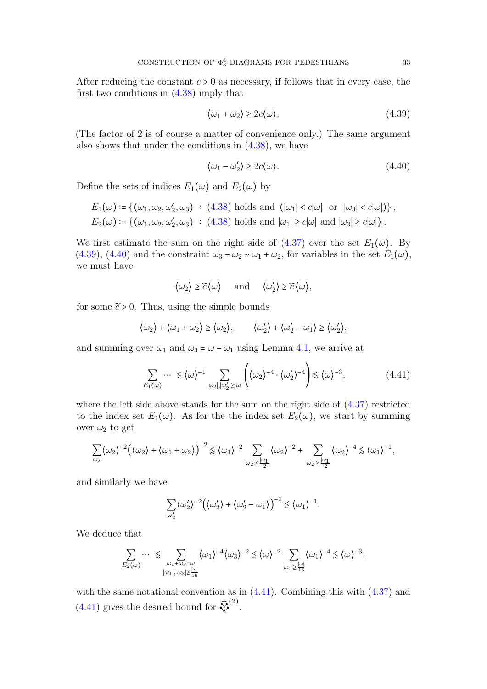After reducing the constant  $c > 0$  as necessary, if follows that in every case, the first two conditions in [\(4.38\)](#page-31-0) imply that

<span id="page-32-0"></span>
$$
\langle \omega_1 + \omega_2 \rangle \ge 2c \langle \omega \rangle. \tag{4.39}
$$

(The factor of 2 is of course a matter of convenience only.) The same argument also shows that under the conditions in  $(4.38)$ , we have

<span id="page-32-1"></span>
$$
\langle \omega_1 - \omega_2' \rangle \ge 2c \langle \omega \rangle. \tag{4.40}
$$

Define the sets of indices  $E_1(\omega)$  and  $E_2(\omega)$  by

$$
E_1(\omega) \coloneqq \{(\omega_1, \omega_2, \omega'_2, \omega_3) : (4.38) \text{ holds and } (|\omega_1| < c|\omega| \text{ or } |\omega_3| < c|\omega|) \},
$$
\n
$$
E_2(\omega) \coloneqq \{(\omega_1, \omega_2, \omega'_2, \omega_3) : (4.38) \text{ holds and } |\omega_1| \geq c|\omega| \text{ and } |\omega_3| \geq c|\omega| \}.
$$

We first estimate the sum on the right side of  $(4.37)$  over the set  $E_1(\omega)$ . By [\(4.39\)](#page-32-0), [\(4.40\)](#page-32-1) and the constraint  $\omega_3 - \omega_2 \sim \omega_1 + \omega_2$ , for variables in the set  $E_1(\omega)$ , we must have

$$
\langle \omega_2 \rangle \ge \widetilde{c} \langle \omega \rangle
$$
 and  $\langle \omega'_2 \rangle \ge \widetilde{c} \langle \omega \rangle$ ,

for some  $\tilde{c} > 0$ . Thus, using the simple bounds

$$
\langle \omega_2 \rangle + \langle \omega_1 + \omega_2 \rangle \ge \langle \omega_2 \rangle, \qquad \langle \omega_2' \rangle + \langle \omega_2' - \omega_1 \rangle \ge \langle \omega_2' \rangle,
$$

and summing over  $\omega_1$  and  $\omega_3 = \omega - \omega_1$  using Lemma [4.1,](#page-25-2) we arrive at

<span id="page-32-2"></span>
$$
\sum_{E_1(\omega)} \cdots \leq \langle \omega \rangle^{-1} \sum_{|\omega_2|, |\omega_2'| \geq |\omega|} \left( \langle \omega_2 \rangle^{-4} \cdot \langle \omega_2' \rangle^{-4} \right) \lesssim \langle \omega \rangle^{-3}, \tag{4.41}
$$

where the left side above stands for the sum on the right side of [\(4.37\)](#page-31-1) restricted to the index set  $E_1(\omega)$ . As for the the index set  $E_2(\omega)$ , we start by summing over  $\omega_2$  to get

$$
\sum_{\omega_2} \langle \omega_2 \rangle^{-2} \Big( \langle \omega_2 \rangle + \langle \omega_1 + \omega_2 \rangle \Big)^{-2} \lesssim \langle \omega_1 \rangle^{-2} \sum_{|\omega_2| \le \frac{|\omega_1|}{2}} \langle \omega_2 \rangle^{-2} + \sum_{|\omega_2| \ge \frac{|\omega_1|}{2}} \langle \omega_2 \rangle^{-4} \lesssim \langle \omega_1 \rangle^{-1},
$$

and similarly we have

$$
\sum_{\omega_2'} \langle \omega_2' \rangle^{-2} \Big( \langle \omega_2' \rangle + \langle \omega_2' - \omega_1 \rangle \Big)^{-2} \lesssim \langle \omega_1 \rangle^{-1}.
$$

We deduce that

$$
\sum_{E_2(\omega)} \cdots \leq \sum_{\substack{\omega_1 + \omega_3 = \omega \\ |\omega_1|, |\omega_3| \geq \frac{|\omega|}{16}}} \langle \omega_1 \rangle^{-4} \langle \omega_3 \rangle^{-2} \lesssim \langle \omega \rangle^{-2} \sum_{|\omega_1| \geq \frac{|\omega|}{16}} \langle \omega_1 \rangle^{-4} \lesssim \langle \omega \rangle^{-3},
$$

with the same notational convention as in  $(4.41)$ . Combining this with  $(4.37)$  and  $(4.41)$  gives the desired bound for  $\sqrt[3]{}$  $\binom{2}{ }$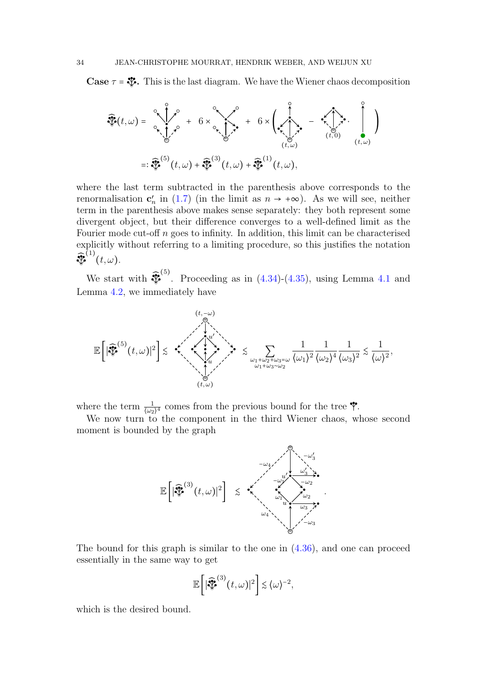**Case**  $\tau = \frac{36}{3}$ . This is the last diagram. We have the Wiener chaos decomposition

$$
\widehat{\mathcal{F}}(t,\omega) = \begin{bmatrix} 0 & 0 & 0 \\ 0 & 0 & 0 \\ 0 & 0 & 0 \\ 0 & 0 & 0 \end{bmatrix}, \quad 0 \quad \omega \in \mathbb{R}^n, \quad \omega \in \mathbb{R}^n, \quad \omega \in \mathbb{R}^n, \quad \omega \in \mathbb{R}^n, \quad \omega \in \mathbb{R}^n, \quad \omega \in \mathbb{R}^n, \quad \omega \in \mathbb{R}^n, \quad \omega \in \mathbb{R}^n, \quad \omega \in \mathbb{R}^n, \quad \omega \in \mathbb{R}^n, \quad \omega \in \mathbb{R}^n, \quad \omega \in \mathbb{R}^n, \quad \omega \in \mathbb{R}^n, \quad \omega \in \mathbb{R}^n, \quad \omega \in \mathbb{R}^n, \quad \omega \in \mathbb{R}^n, \quad \omega \in \mathbb{R}^n, \quad \omega \in \mathbb{R}^n, \quad \omega \in \mathbb{R}^n, \quad \omega \in \mathbb{R}^n, \quad \omega \in \mathbb{R}^n, \quad \omega \in \mathbb{R}^n, \quad \omega \in \mathbb{R}^n, \quad \omega \in \mathbb{R}^n, \quad \omega \in \mathbb{R}^n, \quad \omega \in \mathbb{R}^n, \quad \omega \in \mathbb{R}^n, \quad \omega \in \mathbb{R}^n, \quad \omega \in \mathbb{R}^n, \quad \omega \in \mathbb{R}^n, \quad \omega \in \mathbb{R}^n, \quad \omega \in \mathbb{R}^n, \quad \omega \in \mathbb{R}^n, \quad \omega \in \mathbb{R}^n, \quad \omega \in \mathbb{R}^n, \quad \omega \in \mathbb{R}^n, \quad \omega \in \mathbb{R}^n, \quad \omega \in \mathbb{R}^n, \quad \omega \in \mathbb{R}^n, \quad \omega \in \mathbb{R}^n, \quad \omega \in \mathbb{R}^n, \quad \omega \in \mathbb{R}^n, \quad \omega \in \mathbb{R}^n, \quad \omega \in \mathbb{R}^n, \quad \omega \in \mathbb{R}^n, \quad \omega \in \mathbb{R}^n, \quad \omega
$$

where the last term subtracted in the parenthesis above corresponds to the renormalisation  $\mathbf{c}'_n$  in [\(1.7\)](#page-3-1) (in the limit as  $n \to +\infty$ ). As we will see, neither term in the parenthesis above makes sense separately: they both represent some divergent object, but their difference converges to a well-defined limit as the Fourier mode cut-off  $n$  goes to infinity. In addition, this limit can be characterised explicitly without referring to a limiting procedure, so this justifies the notation ̂ =  $^{(1)}(t,\omega).$ 

We start with  $\mathbf{\mathcal{F}}$ <sup>(5)</sup>. Proceeding as in  $(4.34)-(4.35)$  $(4.34)-(4.35)$  $(4.34)-(4.35)$ , using Lemma [4.1](#page-25-2) and Lemma [4.2,](#page-28-0) we immediately have

$$
\mathbb{E}\left[|\widehat{\mathbf{W}}^{(5)}(t,\omega)|^2\right] \lesssim \quad \stackrel{(t,-\omega)}{\underset{\omega_1+\omega_2+\omega_3=\omega}{\bigwedge_{\omega_1+\omega_3\sim\omega_2}}}} \lesssim \sum_{\omega_1+\omega_2+\omega_3=\omega \atop \omega_1+\omega_3\sim\omega_2} \frac{1}{\langle\omega_1\rangle^2} \frac{1}{\langle\omega_2\rangle^4} \frac{1}{\langle\omega_3\rangle^2} \lesssim \frac{1}{\langle\omega\rangle^2},
$$

where the term  $\frac{1}{(\omega_2)^4}$  comes from the previous bound for the tree  $\mathbf{\hat{Y}}$ .

We now turn to the component in the third Wiener chaos, whose second moment is bounded by the graph



The bound for this graph is similar to the one in [\(4.36\)](#page-31-2), and one can proceed essentially in the same way to get

$$
\mathbb{E}\bigg[\big|\widehat{\mathbb{E}}^{(3)}(t,\omega)\big|^2\bigg] \lesssim \langle \omega \rangle^{-2},
$$

which is the desired bound.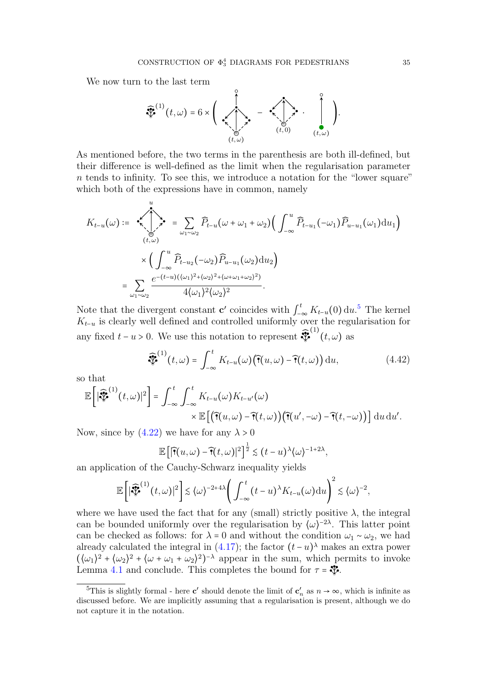We now turn to the last term



As mentioned before, the two terms in the parenthesis are both ill-defined, but their difference is well-defined as the limit when the regularisation parameter  $n$  tends to infinity. To see this, we introduce a notation for the "lower square" which both of the expressions have in common, namely

$$
K_{t-u}(\omega) := \sum_{(t,\omega)}^{\infty} \widehat{P}_{t-u}(\omega + \omega_1 + \omega_2) \Big( \int_{-\infty}^{u} \widehat{P}_{t-u}(-\omega_1) \widehat{P}_{u-u}(\omega_1) \mathrm{d}u_1 \Big)
$$
  

$$
\times \Big( \int_{-\infty}^{u} \widehat{P}_{t-u_2}(-\omega_2) \widehat{P}_{u-u_1}(\omega_2) \mathrm{d}u_2 \Big)
$$
  

$$
= \sum_{\omega_1 \sim \omega_2} \frac{e^{-(t-u)((\omega_1)^2 + (\omega_2)^2 + (\omega + \omega_1 + \omega_2)^2)}}{4(\omega_1)^2 (\omega_2)^2}.
$$

Note that the divergent constant **c'** coincides with  $\int_{-\infty}^{t} K_{t-u}(0) du$ .<sup>[5](#page-34-0)</sup> The kernel  $K_{-}$  is clearly well defined and controlled uniformly over the regularisation for  $K_{t-u}$  is clearly well defined and controlled uniformly over the regularisation for any fixed  $t - u > 0$ . We use this notation to represent  $\mathcal{F}$  $\int_0^{(1)}(t,\omega)$  as

$$
\widehat{\mathcal{F}}^{(1)}(t,\omega) = \int_{-\infty}^{t} K_{t-u}(\omega) \big( \widehat{\mathcal{T}}(u,\omega) - \widehat{\mathcal{T}}(t,\omega) \big) \, \mathrm{d}u,\tag{4.42}
$$

so that

$$
\mathbb{E}\left[|\widehat{\mathbf{F}}^{(1)}(t,\omega)|^2\right] = \int_{-\infty}^t \int_{-\infty}^t K_{t-u}(\omega)K_{t-u'}(\omega) \times \mathbb{E}\left[\left(\widehat{\mathbf{T}}(u,\omega)-\widehat{\mathbf{T}}(t,\omega)\right)\left(\widehat{\mathbf{T}}(u',-\omega)-\widehat{\mathbf{T}}(t,-\omega)\right)\right] \mathrm{d}u \, \mathrm{d}u'.
$$

Now, since by  $(4.22)$  we have for any  $\lambda > 0$ 

$$
\mathbb{E}\left[\left|\widehat{\mathbf{T}}(u,\omega)-\widehat{\mathbf{T}}(t,\omega)\right|^2\right]^{\frac{1}{2}}\lesssim (t-u)^{\lambda}\langle\omega\rangle^{-1+2\lambda},
$$

an application of the Cauchy-Schwarz inequality yields

$$
\mathbb{E}\bigg[\big|\widehat{\mathcal{F}}^{(1)}(t,\omega)\big|^2\bigg] \lesssim \langle\omega\rangle^{-2+4\lambda} \bigg(\int_{-\infty}^t (t-u)^{\lambda} K_{t-u}(\omega) \mathrm{d}u\bigg)^2 \lesssim \langle\omega\rangle^{-2},
$$

where we have used the fact that for any (small) strictly positive  $\lambda$ , the integral can be bounded uniformly over the regularisation by  $\langle \omega \rangle^{-2\lambda}$ . This latter point can be checked as follows: for  $\lambda = 0$  and without the condition  $\omega_1 \sim \omega_2$ , we had already calculated the integral in  $(4.17)$ ; the factor  $(t - u)$ <sup>λ</sup> makes an extra power  $(\langle \omega_1 \rangle^2 + \langle \omega_2 \rangle^2 + \langle \omega + \omega_1 + \omega_2 \rangle^2)^{-\lambda}$  appear in the sum, which permits to invoke Lemma [4.1](#page-25-2) and conclude. This completes the bound for  $\tau = \mathcal{F}$ .

<span id="page-34-0"></span><sup>&</sup>lt;sup>5</sup>This is slightly formal - here **c'** should denote the limit of  $c'_n$  as  $n \to \infty$ , which is infinite as discussed before. We are implicitly assuming that a regularisation is present, although we do not capture it in the notation.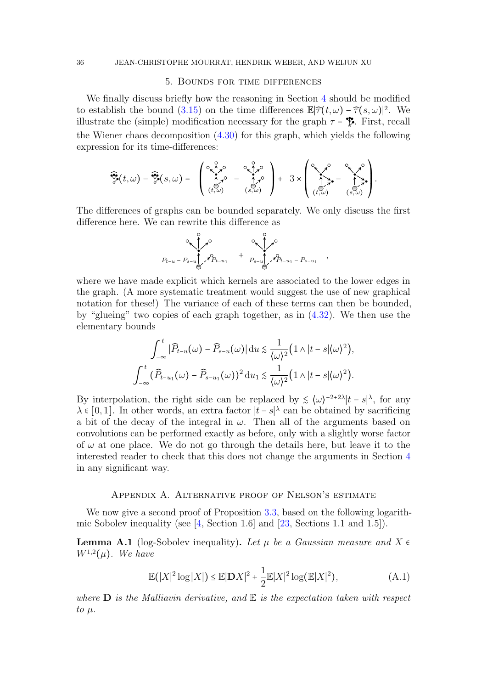## 5. Bounds for time differences

<span id="page-35-0"></span>We finally discuss briefly how the reasoning in Section [4](#page-15-0) should be modified to establish the bound  $(3.15)$  on the time differences  $\mathbb{E}|\hat{\tau}(t,\omega)-\hat{\tau}(s,\omega)|^2$ . We illustrate the (simple) modification necessary for the graph  $\tau = \mathcal{F}$ . First, recall the Wiener chaos decomposition [\(4.30\)](#page-27-1) for this graph, which yields the following expression for its time-differences:

$$
\widehat{\mathcal{V}}(t,\omega) - \widehat{\mathcal{V}}(s,\omega) = \left( \begin{array}{ccc} \circ \overbrace{t,\omega}^{\circ} & \circ \overbrace{t,\omega}^{\circ} \\ \overbrace{t,\omega}^{\circ} & - \overbrace{t,\omega}^{\circ} \\ (t,\omega) & (s,\omega) \end{array} \right) + 3 \times \left( \begin{array}{ccc} \circ & \circ & \circ & \circ & \circ & \circ \\ \overbrace{t,\omega}^{\circ} & \circ & \circ & \circ & \circ \\ (t,\omega) & (s,\omega) & (s,\omega) \end{array} \right).
$$

The differences of graphs can be bounded separately. We only discuss the first difference here. We can rewrite this difference as

Pt−<sup>u</sup> − Ps−<sup>u</sup> Pt−u<sup>1</sup> = + = Ps−<sup>u</sup> Pt−u<sup>1</sup> − Ps−u<sup>1</sup> ,

where we have made explicit which kernels are associated to the lower edges in the graph. (A more systematic treatment would suggest the use of new graphical notation for these!) The variance of each of these terms can then be bounded, by "glueing" two copies of each graph together, as in [\(4.32\)](#page-28-1). We then use the elementary bounds

$$
\int_{-\infty}^{t} |\widehat{P}_{t-u}(\omega) - \widehat{P}_{s-u}(\omega)| \, \mathrm{d}u \lesssim \frac{1}{\langle \omega \rangle^2} \Big( 1 \wedge |t-s| \langle \omega \rangle^2 \Big),
$$
  

$$
\int_{-\infty}^{t} (\widehat{P}_{t-u_1}(\omega) - \widehat{P}_{s-u_1}(\omega))^2 \, \mathrm{d}u_1 \lesssim \frac{1}{\langle \omega \rangle^2} \Big( 1 \wedge |t-s| \langle \omega \rangle^2 \Big).
$$

By interpolation, the right side can be replaced by  $\leq (\omega)^{-2+2\lambda} |t-s|^\lambda$ , for any  $\lambda \in [0, 1]$ . In other words, an extra factor  $|t - s|^{\lambda}$  can be obtained by sacrificing a bit of the decay of the integral in  $\omega$ . Then all of the arguments based on convolutions can be performed exactly as before, only with a slightly worse factor of  $\omega$  at one place. We do not go through the details here, but leave it to the interested reader to check that this does not change the arguments in Section [4](#page-15-0) in any significant way.

#### Appendix A. Alternative proof of Nelson's estimate

We now give a second proof of Proposition [3.3,](#page-13-0) based on the following logarithmic Sobolev inequality (see [\[4,](#page-37-21) Section 1.6] and [\[23,](#page-38-4) Sections 1.1 and 1.5]).

**Lemma A.1** (log-Sobolev inequality). Let  $\mu$  be a Gaussian measure and X  $\epsilon$  $W^{1,2}(\mu)$ . We have

$$
\mathbb{E}(|X|^2 \log |X|) \le \mathbb{E}|\mathbf{D}X|^2 + \frac{1}{2}\mathbb{E}|X|^2 \log(\mathbb{E}|X|^2),\tag{A.1}
$$

where  $\mathbf D$  is the Malliavin derivative, and  $\mathbb E$  is the expectation taken with respect to  $\mu$ .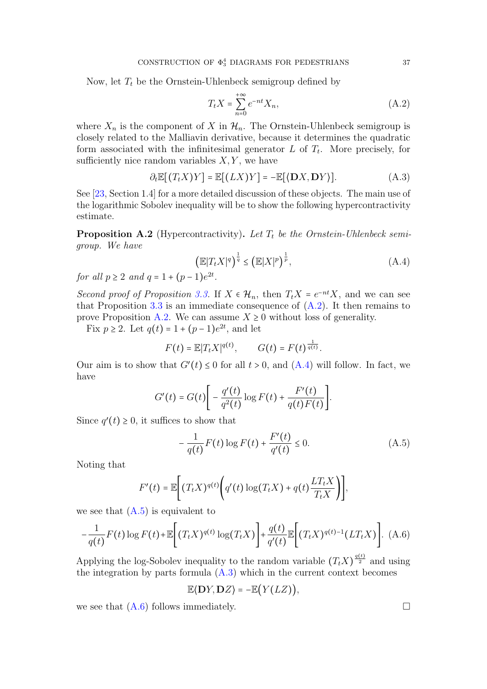Now, let  $T_t$  be the Ornstein-Uhlenbeck semigroup defined by

$$
T_t X = \sum_{n=0}^{+\infty} e^{-nt} X_n,
$$
\n(A.2)

where  $X_n$  is the component of X in  $\mathcal{H}_n$ . The Ornstein-Uhlenbeck semigroup is closely related to the Malliavin derivative, because it determines the quadratic form associated with the infinitesimal generator  $L$  of  $T_t$ . More precisely, for sufficiently nice random variables  $X, Y$ , we have

<span id="page-36-3"></span>
$$
\partial_t \mathbb{E}[(T_t X)Y] = \mathbb{E}[(LX)Y] = -\mathbb{E}[\langle \mathbf{D}X, \mathbf{D}Y \rangle]. \tag{A.3}
$$

See [\[23,](#page-38-4) Section 1.4] for a more detailed discussion of these objects. The main use of the logarithmic Sobolev inequality will be to show the following hypercontractivity estimate.

<span id="page-36-0"></span>**Proposition A.2** (Hypercontractivity). Let  $T_t$  be the Ornstein-Uhlenbeck semigroup. We have

<span id="page-36-1"></span>
$$
\left(\mathbb{E}|T_t X|^q\right)^{\frac{1}{q}} \le \left(\mathbb{E}|X|^p\right)^{\frac{1}{p}},\tag{A.4}
$$

for all  $p \ge 2$  and  $q = 1 + (p - 1)e^{2t}$ .

Second proof of Proposition [3.3.](#page-13-0) If  $X \in \mathcal{H}_n$ , then  $T_t X = e^{-nt} X$ , and we can see<br>that Proposition 3.3 is an immediate consequence of  $(A, 2)$ . It then remains to that Proposition [3.3](#page-13-0) is an immediate consequence of  $(A.2)$ . It then remains to prove Proposition [A.2.](#page-36-0) We can assume  $X \geq 0$  without loss of generality.

Fix  $p \ge 2$ . Let  $q(t) = 1 + (p-1)e^{2t}$ , and let

$$
F(t) = \mathbb{E}|T_t X|^{q(t)}, \qquad G(t) = F(t)^{\frac{1}{q(t)}}.
$$

Our aim is to show that  $G'(t) \leq 0$  for all  $t > 0$ , and  $(A.4)$  will follow. In fact, we have

$$
G'(t) = G(t) \bigg[ -\frac{q'(t)}{q^2(t)} \log F(t) + \frac{F'(t)}{q(t)F(t)} \bigg].
$$

Since  $q'(t) \geq 0$ , it suffices to show that

<span id="page-36-2"></span>
$$
-\frac{1}{q(t)}F(t)\log F(t) + \frac{F'(t)}{q'(t)} \le 0.
$$
 (A.5)

Noting that

$$
F'(t) = \mathbb{E}\Bigg[\big(T_t X)^{q(t)}\Bigg(q'(t)\log(T_t X) + q(t)\frac{LT_t X}{T_t X}\Bigg)\Bigg],
$$

we see that  $(A.5)$  is equivalent to

<span id="page-36-4"></span>
$$
-\frac{1}{q(t)}F(t)\log F(t)+\mathbb{E}\bigg[(T_tX)^{q(t)}\log(T_tX)\bigg]+\frac{q(t)}{q'(t)}\mathbb{E}\bigg[(T_tX)^{q(t)-1}(LT_tX)\bigg].\tag{A.6}
$$

Applying the log-Sobolev inequality to the random variable  $(T_t X)^{\frac{q(t)}{2}}$  and using the integration by parts formula  $(A.3)$  which in the current context becomes

$$
\mathbb{E}\langle \mathbf{D}Y,\mathbf{D}Z\rangle = -\mathbb{E}\big(Y(LZ)\big),\,
$$

we see that  $(A.6)$  follows immediately.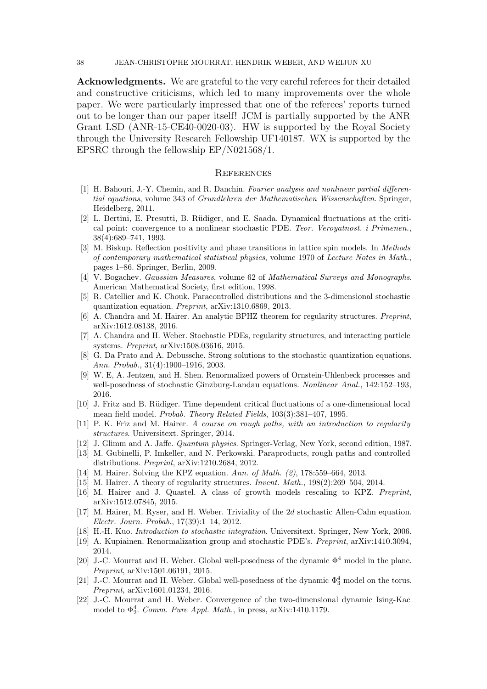38 JEAN-CHRISTOPHE MOURRAT, HENDRIK WEBER, AND WEIJUN XU

Acknowledgments. We are grateful to the very careful referees for their detailed and constructive criticisms, which led to many improvements over the whole paper. We were particularly impressed that one of the referees' reports turned out to be longer than our paper itself! JCM is partially supported by the ANR Grant LSD (ANR-15-CE40-0020-03). HW is supported by the Royal Society through the University Research Fellowship UF140187. WX is supported by the EPSRC through the fellowship EP/N021568/1.

#### **REFERENCES**

- <span id="page-37-17"></span>[1] H. Bahouri, J.-Y. Chemin, and R. Danchin. Fourier analysis and nonlinear partial differential equations, volume 343 of Grundlehren der Mathematischen Wissenschaften. Springer, Heidelberg, 2011.
- <span id="page-37-0"></span>[2] L. Bertini, E. Presutti, B. Rüdiger, and E. Saada. Dynamical fluctuations at the critical point: convergence to a nonlinear stochastic PDE. Teor. Veroyatnost. i Primenen., 38(4):689–741, 1993.
- <span id="page-37-3"></span>[3] M. Biskup. Reflection positivity and phase transitions in lattice spin models. In Methods of contemporary mathematical statistical physics, volume 1970 of Lecture Notes in Math., pages 1–86. Springer, Berlin, 2009.
- <span id="page-37-21"></span>[4] V. Bogachev. Gaussian Measures, volume 62 of Mathematical Surveys and Monographs. American Mathematical Society, first edition, 1998.
- <span id="page-37-11"></span>[5] R. Catellier and K. Chouk. Paracontrolled distributions and the 3-dimensional stochastic quantization equation. Preprint, arXiv:1310.6869, 2013.
- <span id="page-37-16"></span>[6] A. Chandra and M. Hairer. An analytic BPHZ theorem for regularity structures. Preprint, arXiv:1612.08138, 2016.
- <span id="page-37-6"></span>[7] A. Chandra and H. Weber. Stochastic PDEs, regularity structures, and interacting particle systems. Preprint, arXiv:1508.03616, 2015.
- <span id="page-37-7"></span>[8] G. Da Prato and A. Debussche. Strong solutions to the stochastic quantization equations. Ann. Probab., 31(4):1900–1916, 2003.
- <span id="page-37-20"></span>[9] W. E, A. Jentzen, and H. Shen. Renormalized powers of Ornstein-Uhlenbeck processes and well-posedness of stochastic Ginzburg-Landau equations. Nonlinear Anal., 142:152–193. 2016.
- <span id="page-37-1"></span>[10] J. Fritz and B. Rüdiger. Time dependent critical fluctuations of a one-dimensional local mean field model. Probab. Theory Related Fields, 103(3):381–407, 1995.
- <span id="page-37-8"></span>[11] P. K. Friz and M. Hairer. A course on rough paths, with an introduction to regularity structures. Universitext. Springer, 2014.
- <span id="page-37-4"></span>[12] J. Glimm and A. Jaffe. Quantum physics. Springer-Verlag, New York, second edition, 1987.
- <span id="page-37-12"></span>[13] M. Gubinelli, P. Imkeller, and N. Perkowski. Paraproducts, rough paths and controlled distributions. Preprint, arXiv:1210.2684, 2012.
- <span id="page-37-10"></span>[14] M. Hairer. Solving the KPZ equation. Ann. of Math. (2), 178:559–664, 2013.
- <span id="page-37-9"></span>[15] M. Hairer. A theory of regularity structures. Invent. Math., 198(2):269–504, 2014.
- <span id="page-37-15"></span>[16] M. Hairer and J. Quastel. A class of growth models rescaling to KPZ. Preprint, arXiv:1512.07845, 2015.
- <span id="page-37-5"></span>[17] M. Hairer, M. Ryser, and H. Weber. Triviality of the 2d stochastic Allen-Cahn equation. Electr. Journ. Probab., 17(39):1–14, 2012.
- <span id="page-37-19"></span>[18] H.-H. Kuo. Introduction to stochastic integration. Universitext. Springer, New York, 2006.
- <span id="page-37-14"></span>[19] A. Kupiainen. Renormalization group and stochastic PDE's. Preprint, arXiv:1410.3094, 2014.
- <span id="page-37-18"></span>[20] J.-C. Mourrat and H. Weber. Global well-posedness of the dynamic  $\Phi^4$  model in the plane. Preprint, arXiv:1501.06191, 2015.
- <span id="page-37-13"></span>[21] J.-C. Mourrat and H. Weber. Global well-posedness of the dynamic  $\Phi_3^4$  model on the torus. Preprint, arXiv:1601.01234, 2016.
- <span id="page-37-2"></span>[22] J.-C. Mourrat and H. Weber. Convergence of the two-dimensional dynamic Ising-Kac model to  $\Phi_2^4$ . Comm. Pure Appl. Math., in press, arXiv:1410.1179.